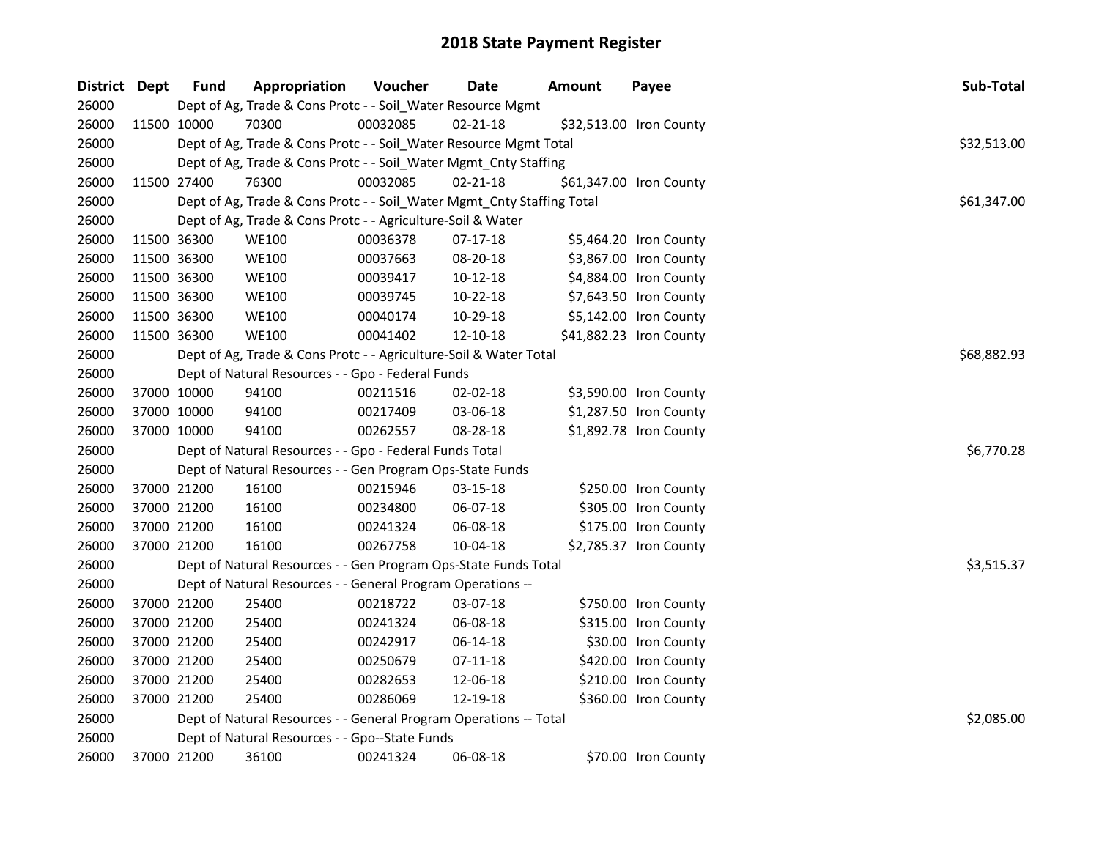| District Dept | <b>Fund</b> | Appropriation                                                          | Voucher  | <b>Date</b>    | <b>Amount</b> | Payee                   | Sub-Total   |
|---------------|-------------|------------------------------------------------------------------------|----------|----------------|---------------|-------------------------|-------------|
| 26000         |             | Dept of Ag, Trade & Cons Protc - - Soil_Water Resource Mgmt            |          |                |               |                         |             |
| 26000         | 11500 10000 | 70300                                                                  | 00032085 | $02 - 21 - 18$ |               | \$32,513.00 Iron County |             |
| 26000         |             | Dept of Ag, Trade & Cons Protc - - Soil_Water Resource Mgmt Total      |          |                |               |                         | \$32,513.00 |
| 26000         |             | Dept of Ag, Trade & Cons Protc - - Soil_Water Mgmt_Cnty Staffing       |          |                |               |                         |             |
| 26000         | 11500 27400 | 76300                                                                  | 00032085 | $02 - 21 - 18$ |               | \$61,347.00 Iron County |             |
| 26000         |             | Dept of Ag, Trade & Cons Protc - - Soil_Water Mgmt_Cnty Staffing Total |          |                |               |                         | \$61,347.00 |
| 26000         |             | Dept of Ag, Trade & Cons Protc - - Agriculture-Soil & Water            |          |                |               |                         |             |
| 26000         | 11500 36300 | <b>WE100</b>                                                           | 00036378 | 07-17-18       |               | \$5,464.20 Iron County  |             |
| 26000         | 11500 36300 | <b>WE100</b>                                                           | 00037663 | 08-20-18       |               | \$3,867.00 Iron County  |             |
| 26000         | 11500 36300 | <b>WE100</b>                                                           | 00039417 | 10-12-18       |               | \$4,884.00 Iron County  |             |
| 26000         | 11500 36300 | <b>WE100</b>                                                           | 00039745 | 10-22-18       |               | \$7,643.50 Iron County  |             |
| 26000         | 11500 36300 | <b>WE100</b>                                                           | 00040174 | 10-29-18       |               | \$5,142.00 Iron County  |             |
| 26000         | 11500 36300 | <b>WE100</b>                                                           | 00041402 | 12-10-18       |               | \$41,882.23 Iron County |             |
| 26000         |             | Dept of Ag, Trade & Cons Protc - - Agriculture-Soil & Water Total      |          |                |               |                         | \$68,882.93 |
| 26000         |             | Dept of Natural Resources - - Gpo - Federal Funds                      |          |                |               |                         |             |
| 26000         | 37000 10000 | 94100                                                                  | 00211516 | 02-02-18       |               | \$3,590.00 Iron County  |             |
| 26000         | 37000 10000 | 94100                                                                  | 00217409 | 03-06-18       |               | \$1,287.50 Iron County  |             |
| 26000         | 37000 10000 | 94100                                                                  | 00262557 | 08-28-18       |               | \$1,892.78 Iron County  |             |
| 26000         |             | Dept of Natural Resources - - Gpo - Federal Funds Total                |          |                |               |                         | \$6,770.28  |
| 26000         |             | Dept of Natural Resources - - Gen Program Ops-State Funds              |          |                |               |                         |             |
| 26000         | 37000 21200 | 16100                                                                  | 00215946 | 03-15-18       |               | \$250.00 Iron County    |             |
| 26000         | 37000 21200 | 16100                                                                  | 00234800 | 06-07-18       |               | \$305.00 Iron County    |             |
| 26000         | 37000 21200 | 16100                                                                  | 00241324 | 06-08-18       |               | \$175.00 Iron County    |             |
| 26000         | 37000 21200 | 16100                                                                  | 00267758 | 10-04-18       |               | \$2,785.37 Iron County  |             |
| 26000         |             | Dept of Natural Resources - - Gen Program Ops-State Funds Total        |          |                |               |                         | \$3,515.37  |
| 26000         |             | Dept of Natural Resources - - General Program Operations --            |          |                |               |                         |             |
| 26000         | 37000 21200 | 25400                                                                  | 00218722 | 03-07-18       |               | \$750.00 Iron County    |             |
| 26000         | 37000 21200 | 25400                                                                  | 00241324 | 06-08-18       |               | \$315.00 Iron County    |             |
| 26000         | 37000 21200 | 25400                                                                  | 00242917 | 06-14-18       |               | \$30.00 Iron County     |             |
| 26000         | 37000 21200 | 25400                                                                  | 00250679 | 07-11-18       |               | \$420.00 Iron County    |             |
| 26000         | 37000 21200 | 25400                                                                  | 00282653 | 12-06-18       |               | \$210.00 Iron County    |             |
| 26000         | 37000 21200 | 25400                                                                  | 00286069 | 12-19-18       |               | \$360.00 Iron County    |             |
| 26000         |             | Dept of Natural Resources - - General Program Operations -- Total      |          |                |               |                         | \$2,085.00  |
| 26000         |             | Dept of Natural Resources - - Gpo--State Funds                         |          |                |               |                         |             |
| 26000         | 37000 21200 | 36100                                                                  | 00241324 | 06-08-18       |               | \$70.00 Iron County     |             |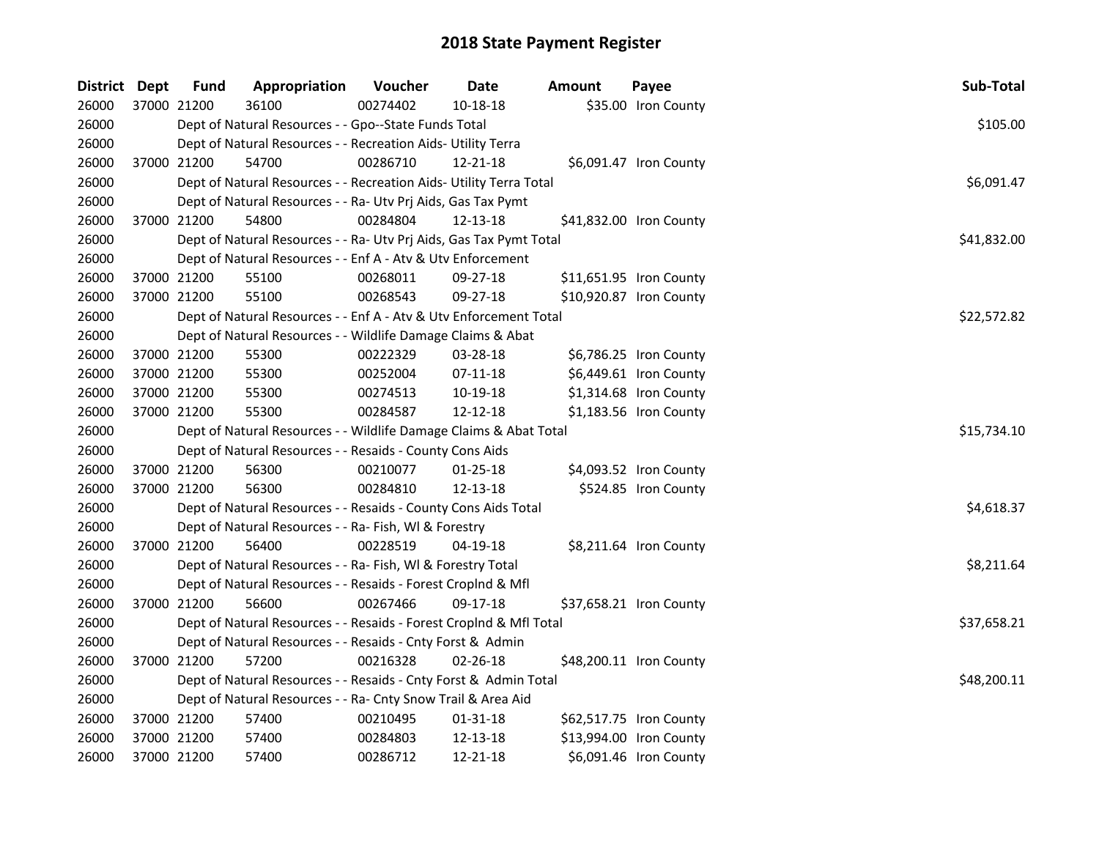| District Dept |             | <b>Fund</b> | Appropriation                                                      | Voucher  | <b>Date</b>    | Amount | Payee                   | Sub-Total   |
|---------------|-------------|-------------|--------------------------------------------------------------------|----------|----------------|--------|-------------------------|-------------|
| 26000         | 37000 21200 |             | 36100                                                              | 00274402 | 10-18-18       |        | \$35.00 Iron County     |             |
| 26000         |             |             | Dept of Natural Resources - - Gpo--State Funds Total               |          |                |        |                         | \$105.00    |
| 26000         |             |             | Dept of Natural Resources - - Recreation Aids- Utility Terra       |          |                |        |                         |             |
| 26000         |             | 37000 21200 | 54700                                                              | 00286710 | 12-21-18       |        | \$6,091.47 Iron County  |             |
| 26000         |             |             | Dept of Natural Resources - - Recreation Aids- Utility Terra Total |          |                |        |                         | \$6,091.47  |
| 26000         |             |             | Dept of Natural Resources - - Ra- Utv Prj Aids, Gas Tax Pymt       |          |                |        |                         |             |
| 26000         |             | 37000 21200 | 54800                                                              | 00284804 | 12-13-18       |        | \$41,832.00 Iron County |             |
| 26000         |             |             | Dept of Natural Resources - - Ra- Utv Prj Aids, Gas Tax Pymt Total |          |                |        |                         | \$41,832.00 |
| 26000         |             |             | Dept of Natural Resources - - Enf A - Atv & Utv Enforcement        |          |                |        |                         |             |
| 26000         |             | 37000 21200 | 55100                                                              | 00268011 | 09-27-18       |        | \$11,651.95 Iron County |             |
| 26000         | 37000 21200 |             | 55100                                                              | 00268543 | 09-27-18       |        | \$10,920.87 Iron County |             |
| 26000         |             |             | Dept of Natural Resources - - Enf A - Atv & Utv Enforcement Total  |          |                |        |                         | \$22,572.82 |
| 26000         |             |             | Dept of Natural Resources - - Wildlife Damage Claims & Abat        |          |                |        |                         |             |
| 26000         |             | 37000 21200 | 55300                                                              | 00222329 | 03-28-18       |        | \$6,786.25 Iron County  |             |
| 26000         |             | 37000 21200 | 55300                                                              | 00252004 | 07-11-18       |        | \$6,449.61 Iron County  |             |
| 26000         | 37000 21200 |             | 55300                                                              | 00274513 | 10-19-18       |        | \$1,314.68 Iron County  |             |
| 26000         | 37000 21200 |             | 55300                                                              | 00284587 | 12-12-18       |        | \$1,183.56 Iron County  |             |
| 26000         |             |             | Dept of Natural Resources - - Wildlife Damage Claims & Abat Total  |          |                |        |                         | \$15,734.10 |
| 26000         |             |             | Dept of Natural Resources - - Resaids - County Cons Aids           |          |                |        |                         |             |
| 26000         | 37000 21200 |             | 56300                                                              | 00210077 | $01 - 25 - 18$ |        | \$4,093.52 Iron County  |             |
| 26000         | 37000 21200 |             | 56300                                                              | 00284810 | 12-13-18       |        | \$524.85 Iron County    |             |
| 26000         |             |             | Dept of Natural Resources - - Resaids - County Cons Aids Total     |          |                |        |                         | \$4,618.37  |
| 26000         |             |             | Dept of Natural Resources - - Ra- Fish, WI & Forestry              |          |                |        |                         |             |
| 26000         | 37000 21200 |             | 56400                                                              | 00228519 | 04-19-18       |        | \$8,211.64 Iron County  |             |
| 26000         |             |             | Dept of Natural Resources - - Ra- Fish, WI & Forestry Total        |          |                |        |                         | \$8,211.64  |
| 26000         |             |             | Dept of Natural Resources - - Resaids - Forest Croplnd & Mfl       |          |                |        |                         |             |
| 26000         | 37000 21200 |             | 56600                                                              | 00267466 | 09-17-18       |        | \$37,658.21 Iron County |             |
| 26000         |             |             | Dept of Natural Resources - - Resaids - Forest CropInd & Mfl Total |          |                |        |                         | \$37,658.21 |
| 26000         |             |             | Dept of Natural Resources - - Resaids - Cnty Forst & Admin         |          |                |        |                         |             |
| 26000         |             | 37000 21200 | 57200                                                              | 00216328 | 02-26-18       |        | \$48,200.11 Iron County |             |
| 26000         |             |             | Dept of Natural Resources - - Resaids - Cnty Forst & Admin Total   |          |                |        |                         | \$48,200.11 |
| 26000         |             |             | Dept of Natural Resources - - Ra- Cnty Snow Trail & Area Aid       |          |                |        |                         |             |
| 26000         |             | 37000 21200 | 57400                                                              | 00210495 | 01-31-18       |        | \$62,517.75 Iron County |             |
| 26000         |             | 37000 21200 | 57400                                                              | 00284803 | 12-13-18       |        | \$13,994.00 Iron County |             |
| 26000         | 37000 21200 |             | 57400                                                              | 00286712 | 12-21-18       |        | \$6,091.46 Iron County  |             |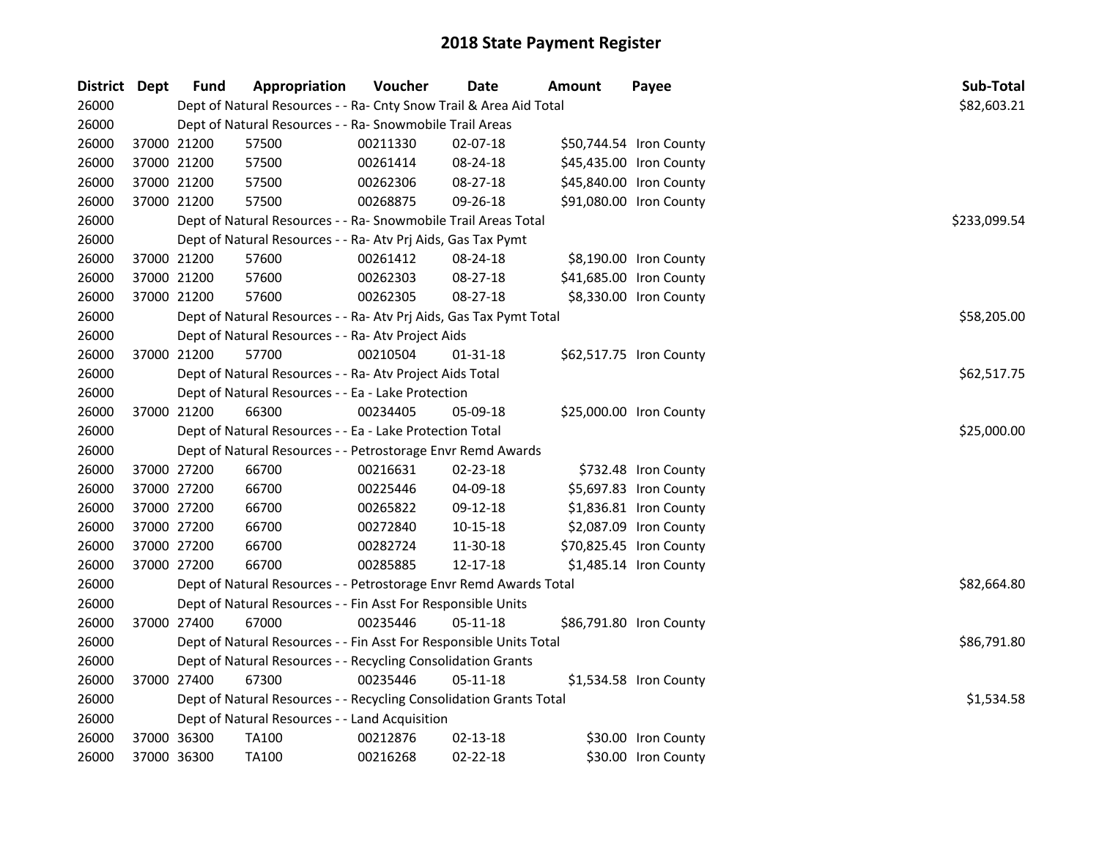| District Dept |             | <b>Fund</b> | Appropriation                                                      | Voucher  | <b>Date</b>    | <b>Amount</b> | Payee                   | Sub-Total    |
|---------------|-------------|-------------|--------------------------------------------------------------------|----------|----------------|---------------|-------------------------|--------------|
| 26000         |             |             | Dept of Natural Resources - - Ra- Cnty Snow Trail & Area Aid Total |          |                |               |                         | \$82,603.21  |
| 26000         |             |             | Dept of Natural Resources - - Ra- Snowmobile Trail Areas           |          |                |               |                         |              |
| 26000         | 37000 21200 |             | 57500                                                              | 00211330 | $02 - 07 - 18$ |               | \$50,744.54 Iron County |              |
| 26000         | 37000 21200 |             | 57500                                                              | 00261414 | 08-24-18       |               | \$45,435.00 Iron County |              |
| 26000         | 37000 21200 |             | 57500                                                              | 00262306 | 08-27-18       |               | \$45,840.00 Iron County |              |
| 26000         | 37000 21200 |             | 57500                                                              | 00268875 | 09-26-18       |               | \$91,080.00 Iron County |              |
| 26000         |             |             | Dept of Natural Resources - - Ra- Snowmobile Trail Areas Total     |          |                |               |                         | \$233,099.54 |
| 26000         |             |             | Dept of Natural Resources - - Ra- Atv Prj Aids, Gas Tax Pymt       |          |                |               |                         |              |
| 26000         |             | 37000 21200 | 57600                                                              | 00261412 | 08-24-18       |               | \$8,190.00 Iron County  |              |
| 26000         | 37000 21200 |             | 57600                                                              | 00262303 | 08-27-18       |               | \$41,685.00 Iron County |              |
| 26000         | 37000 21200 |             | 57600                                                              | 00262305 | 08-27-18       |               | \$8,330.00 Iron County  |              |
| 26000         |             |             | Dept of Natural Resources - - Ra- Atv Prj Aids, Gas Tax Pymt Total |          |                |               |                         | \$58,205.00  |
| 26000         |             |             | Dept of Natural Resources - - Ra- Atv Project Aids                 |          |                |               |                         |              |
| 26000         | 37000 21200 |             | 57700                                                              | 00210504 | 01-31-18       |               | \$62,517.75 Iron County |              |
| 26000         |             |             | Dept of Natural Resources - - Ra- Atv Project Aids Total           |          |                |               |                         | \$62,517.75  |
| 26000         |             |             | Dept of Natural Resources - - Ea - Lake Protection                 |          |                |               |                         |              |
| 26000         |             | 37000 21200 | 66300                                                              | 00234405 | 05-09-18       |               | \$25,000.00 Iron County |              |
| 26000         |             |             | Dept of Natural Resources - - Ea - Lake Protection Total           |          |                |               |                         | \$25,000.00  |
| 26000         |             |             | Dept of Natural Resources - - Petrostorage Envr Remd Awards        |          |                |               |                         |              |
| 26000         | 37000 27200 |             | 66700                                                              | 00216631 | 02-23-18       |               | \$732.48 Iron County    |              |
| 26000         | 37000 27200 |             | 66700                                                              | 00225446 | 04-09-18       |               | \$5,697.83 Iron County  |              |
| 26000         | 37000 27200 |             | 66700                                                              | 00265822 | 09-12-18       |               | \$1,836.81 Iron County  |              |
| 26000         | 37000 27200 |             | 66700                                                              | 00272840 | $10 - 15 - 18$ |               | \$2,087.09 Iron County  |              |
| 26000         | 37000 27200 |             | 66700                                                              | 00282724 | 11-30-18       |               | \$70,825.45 Iron County |              |
| 26000         |             | 37000 27200 | 66700                                                              | 00285885 | 12-17-18       |               | \$1,485.14 Iron County  |              |
| 26000         |             |             | Dept of Natural Resources - - Petrostorage Envr Remd Awards Total  |          |                |               |                         | \$82,664.80  |
| 26000         |             |             | Dept of Natural Resources - - Fin Asst For Responsible Units       |          |                |               |                         |              |
| 26000         |             | 37000 27400 | 67000                                                              | 00235446 | $05 - 11 - 18$ |               | \$86,791.80 Iron County |              |
| 26000         |             |             | Dept of Natural Resources - - Fin Asst For Responsible Units Total |          |                |               |                         | \$86,791.80  |
| 26000         |             |             | Dept of Natural Resources - - Recycling Consolidation Grants       |          |                |               |                         |              |
| 26000         | 37000 27400 |             | 67300                                                              | 00235446 | $05-11-18$     |               | \$1,534.58 Iron County  |              |
| 26000         |             |             | Dept of Natural Resources - - Recycling Consolidation Grants Total |          |                |               |                         | \$1,534.58   |
| 26000         |             |             | Dept of Natural Resources - - Land Acquisition                     |          |                |               |                         |              |
| 26000         |             | 37000 36300 | <b>TA100</b>                                                       | 00212876 | $02 - 13 - 18$ |               | \$30.00 Iron County     |              |
| 26000         | 37000 36300 |             | TA100                                                              | 00216268 | 02-22-18       |               | \$30.00 Iron County     |              |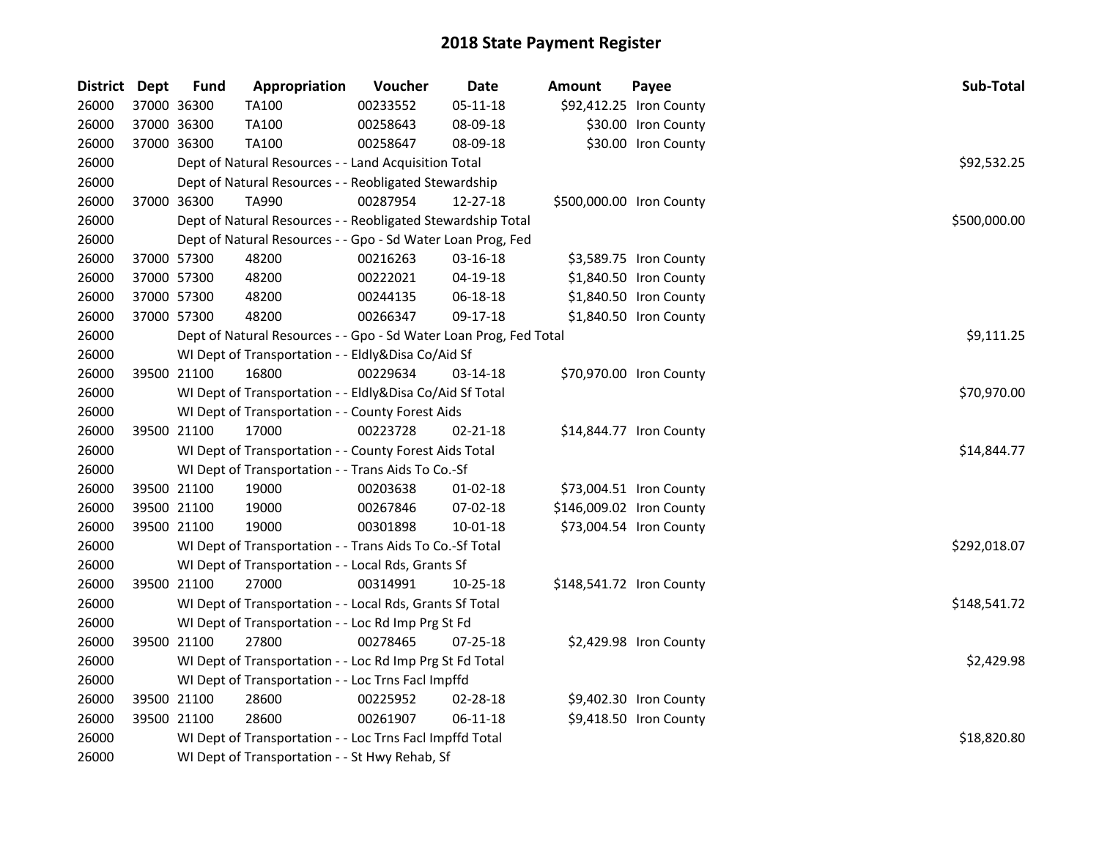| District Dept |             | <b>Fund</b>                                        | Appropriation                                                     | Voucher     | Date           | <b>Amount</b> | Payee                    | Sub-Total    |  |  |
|---------------|-------------|----------------------------------------------------|-------------------------------------------------------------------|-------------|----------------|---------------|--------------------------|--------------|--|--|
| 26000         | 37000 36300 |                                                    | <b>TA100</b>                                                      | 00233552    | $05 - 11 - 18$ |               | \$92,412.25 Iron County  |              |  |  |
| 26000         |             | 37000 36300                                        | <b>TA100</b>                                                      | 00258643    | 08-09-18       |               | \$30.00 Iron County      |              |  |  |
| 26000         | 37000 36300 |                                                    | TA100                                                             | 00258647    | 08-09-18       |               | \$30.00 Iron County      |              |  |  |
| 26000         |             |                                                    | Dept of Natural Resources - - Land Acquisition Total              |             |                |               |                          | \$92,532.25  |  |  |
| 26000         |             |                                                    | Dept of Natural Resources - - Reobligated Stewardship             |             |                |               |                          |              |  |  |
| 26000         |             | 37000 36300                                        | TA990                                                             | 00287954    | 12-27-18       |               | \$500,000.00 Iron County |              |  |  |
| 26000         |             |                                                    | Dept of Natural Resources - - Reobligated Stewardship Total       |             |                |               |                          | \$500,000.00 |  |  |
| 26000         |             |                                                    | Dept of Natural Resources - - Gpo - Sd Water Loan Prog, Fed       |             |                |               |                          |              |  |  |
| 26000         |             | 37000 57300                                        | 48200                                                             | 00216263    | 03-16-18       |               | \$3,589.75 Iron County   |              |  |  |
| 26000         | 37000 57300 |                                                    | 48200                                                             | 00222021    | 04-19-18       |               | \$1,840.50 Iron County   |              |  |  |
| 26000         | 37000 57300 |                                                    | 48200                                                             | 00244135    | 06-18-18       |               | \$1,840.50 Iron County   |              |  |  |
| 26000         | 37000 57300 |                                                    | 48200                                                             | 00266347    | 09-17-18       |               | \$1,840.50 Iron County   |              |  |  |
| 26000         |             |                                                    | Dept of Natural Resources - - Gpo - Sd Water Loan Prog, Fed Total |             |                |               |                          | \$9,111.25   |  |  |
| 26000         |             |                                                    | WI Dept of Transportation - - Eldly&Disa Co/Aid Sf                |             |                |               |                          |              |  |  |
| 26000         | 39500 21100 |                                                    | 16800                                                             | 00229634    | 03-14-18       |               | \$70,970.00 Iron County  |              |  |  |
| 26000         |             |                                                    | WI Dept of Transportation - - Eldly&Disa Co/Aid Sf Total          | \$70,970.00 |                |               |                          |              |  |  |
| 26000         |             |                                                    | WI Dept of Transportation - - County Forest Aids                  |             |                |               |                          |              |  |  |
| 26000         | 39500 21100 |                                                    | 17000                                                             | 00223728    | $02 - 21 - 18$ |               | \$14,844.77 Iron County  |              |  |  |
| 26000         |             |                                                    | WI Dept of Transportation - - County Forest Aids Total            |             |                |               |                          | \$14,844.77  |  |  |
| 26000         |             |                                                    | WI Dept of Transportation - - Trans Aids To Co.-Sf                |             |                |               |                          |              |  |  |
| 26000         |             | 39500 21100                                        | 19000                                                             | 00203638    | 01-02-18       |               | \$73,004.51 Iron County  |              |  |  |
| 26000         |             | 39500 21100                                        | 19000                                                             | 00267846    | 07-02-18       |               | \$146,009.02 Iron County |              |  |  |
| 26000         | 39500 21100 |                                                    | 19000                                                             | 00301898    | $10 - 01 - 18$ |               | \$73,004.54 Iron County  |              |  |  |
| 26000         |             |                                                    | WI Dept of Transportation - - Trans Aids To Co.-Sf Total          |             |                |               |                          | \$292,018.07 |  |  |
| 26000         |             |                                                    | WI Dept of Transportation - - Local Rds, Grants Sf                |             |                |               |                          |              |  |  |
| 26000         | 39500 21100 |                                                    | 27000                                                             | 00314991    | 10-25-18       |               | \$148,541.72 Iron County |              |  |  |
| 26000         |             |                                                    | WI Dept of Transportation - - Local Rds, Grants Sf Total          |             |                |               |                          | \$148,541.72 |  |  |
| 26000         |             |                                                    | WI Dept of Transportation - - Loc Rd Imp Prg St Fd                |             |                |               |                          |              |  |  |
| 26000         |             | 39500 21100                                        | 27800                                                             | 00278465    | $07 - 25 - 18$ |               | \$2,429.98 Iron County   |              |  |  |
| 26000         |             |                                                    | WI Dept of Transportation - - Loc Rd Imp Prg St Fd Total          |             |                |               |                          | \$2,429.98   |  |  |
| 26000         |             | WI Dept of Transportation - - Loc Trns Facl Impffd |                                                                   |             |                |               |                          |              |  |  |
| 26000         |             | 39500 21100                                        | 28600                                                             | 00225952    | 02-28-18       |               | \$9,402.30 Iron County   |              |  |  |
| 26000         | 39500 21100 |                                                    | 28600                                                             | 00261907    | 06-11-18       |               | \$9,418.50 Iron County   |              |  |  |
| 26000         |             |                                                    | WI Dept of Transportation - - Loc Trns Facl Impffd Total          |             |                |               |                          | \$18,820.80  |  |  |
| 26000         |             |                                                    | WI Dept of Transportation - - St Hwy Rehab, Sf                    |             |                |               |                          |              |  |  |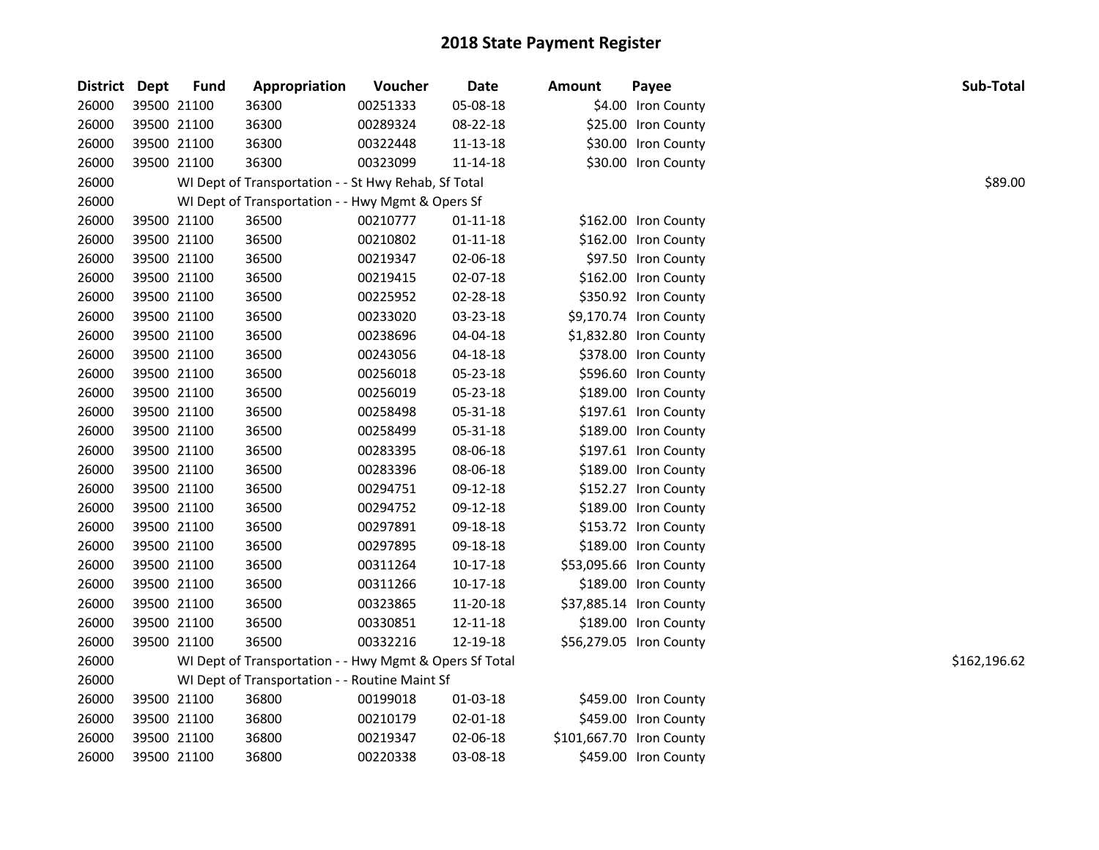| District Dept | <b>Fund</b> | Appropriation                                           | Voucher  | Date           | <b>Amount</b> | Payee                    | Sub-Total    |
|---------------|-------------|---------------------------------------------------------|----------|----------------|---------------|--------------------------|--------------|
| 26000         | 39500 21100 | 36300                                                   | 00251333 | 05-08-18       |               | \$4.00 Iron County       |              |
| 26000         | 39500 21100 | 36300                                                   | 00289324 | 08-22-18       |               | \$25.00 Iron County      |              |
| 26000         | 39500 21100 | 36300                                                   | 00322448 | 11-13-18       |               | \$30.00 Iron County      |              |
| 26000         | 39500 21100 | 36300                                                   | 00323099 | 11-14-18       |               | \$30.00 Iron County      |              |
| 26000         |             | WI Dept of Transportation - - St Hwy Rehab, Sf Total    |          |                |               |                          | \$89.00      |
| 26000         |             | WI Dept of Transportation - - Hwy Mgmt & Opers Sf       |          |                |               |                          |              |
| 26000         | 39500 21100 | 36500                                                   | 00210777 | 01-11-18       |               | \$162.00 Iron County     |              |
| 26000         | 39500 21100 | 36500                                                   | 00210802 | $01 - 11 - 18$ |               | \$162.00 Iron County     |              |
| 26000         | 39500 21100 | 36500                                                   | 00219347 | 02-06-18       |               | \$97.50 Iron County      |              |
| 26000         | 39500 21100 | 36500                                                   | 00219415 | 02-07-18       |               | \$162.00 Iron County     |              |
| 26000         | 39500 21100 | 36500                                                   | 00225952 | 02-28-18       |               | \$350.92 Iron County     |              |
| 26000         | 39500 21100 | 36500                                                   | 00233020 | 03-23-18       |               | \$9,170.74 Iron County   |              |
| 26000         | 39500 21100 | 36500                                                   | 00238696 | 04-04-18       |               | \$1,832.80 Iron County   |              |
| 26000         | 39500 21100 | 36500                                                   | 00243056 | 04-18-18       |               | \$378.00 Iron County     |              |
| 26000         | 39500 21100 | 36500                                                   | 00256018 | 05-23-18       |               | \$596.60 Iron County     |              |
| 26000         | 39500 21100 | 36500                                                   | 00256019 | 05-23-18       |               | \$189.00 Iron County     |              |
| 26000         | 39500 21100 | 36500                                                   | 00258498 | 05-31-18       |               | \$197.61 Iron County     |              |
| 26000         | 39500 21100 | 36500                                                   | 00258499 | 05-31-18       |               | \$189.00 Iron County     |              |
| 26000         | 39500 21100 | 36500                                                   | 00283395 | 08-06-18       |               | \$197.61 Iron County     |              |
| 26000         | 39500 21100 | 36500                                                   | 00283396 | 08-06-18       |               | \$189.00 Iron County     |              |
| 26000         | 39500 21100 | 36500                                                   | 00294751 | 09-12-18       |               | \$152.27 Iron County     |              |
| 26000         | 39500 21100 | 36500                                                   | 00294752 | 09-12-18       |               | \$189.00 Iron County     |              |
| 26000         | 39500 21100 | 36500                                                   | 00297891 | 09-18-18       |               | \$153.72 Iron County     |              |
| 26000         | 39500 21100 | 36500                                                   | 00297895 | 09-18-18       |               | \$189.00 Iron County     |              |
| 26000         | 39500 21100 | 36500                                                   | 00311264 | $10-17-18$     |               | \$53,095.66 Iron County  |              |
| 26000         | 39500 21100 | 36500                                                   | 00311266 | $10-17-18$     |               | \$189.00 Iron County     |              |
| 26000         | 39500 21100 | 36500                                                   | 00323865 | 11-20-18       |               | \$37,885.14 Iron County  |              |
| 26000         | 39500 21100 | 36500                                                   | 00330851 | 12-11-18       |               | \$189.00 Iron County     |              |
| 26000         | 39500 21100 | 36500                                                   | 00332216 | 12-19-18       |               | \$56,279.05 Iron County  |              |
| 26000         |             | WI Dept of Transportation - - Hwy Mgmt & Opers Sf Total |          |                |               |                          | \$162,196.62 |
| 26000         |             | WI Dept of Transportation - - Routine Maint Sf          |          |                |               |                          |              |
| 26000         | 39500 21100 | 36800                                                   | 00199018 | 01-03-18       |               | \$459.00 Iron County     |              |
| 26000         | 39500 21100 | 36800                                                   | 00210179 | 02-01-18       |               | \$459.00 Iron County     |              |
| 26000         | 39500 21100 | 36800                                                   | 00219347 | 02-06-18       |               | \$101,667.70 Iron County |              |
| 26000         | 39500 21100 | 36800                                                   | 00220338 | 03-08-18       |               | \$459.00 Iron County     |              |
|               |             |                                                         |          |                |               |                          |              |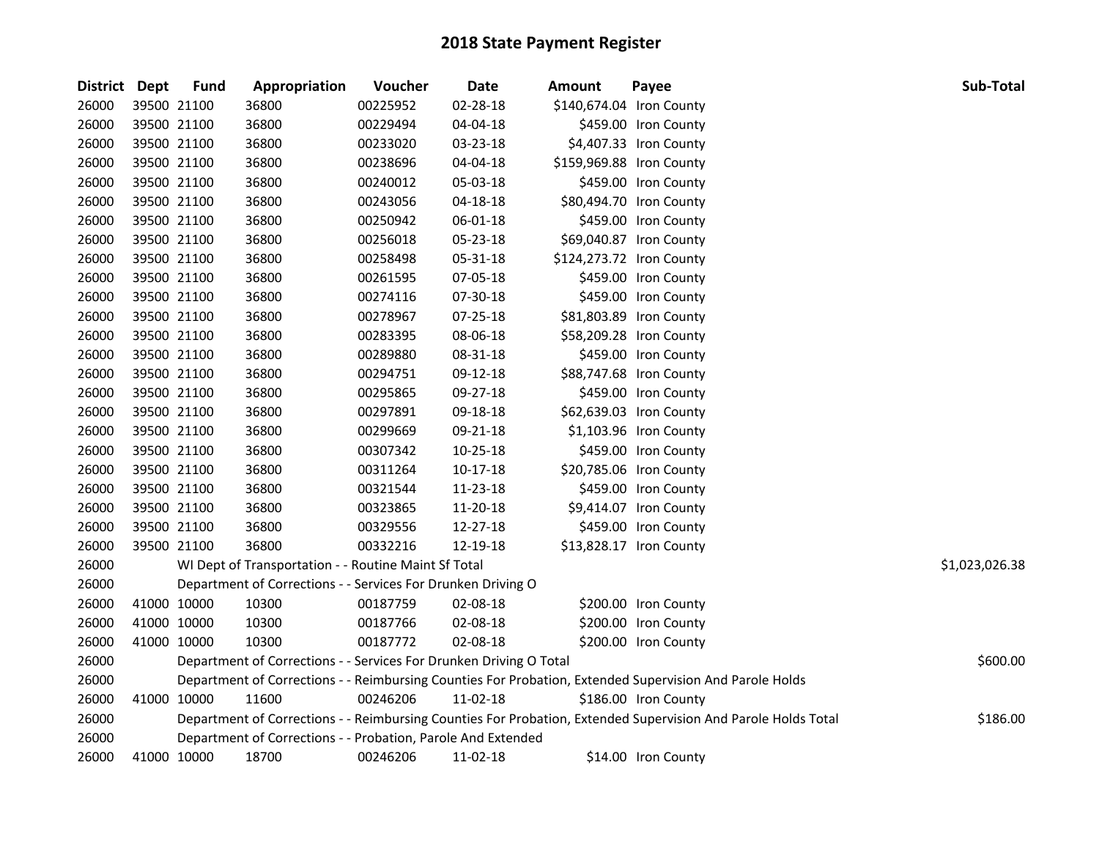| District Dept | <b>Fund</b> | Appropriation                                                      | Voucher  | Date           | Amount                   | Payee                                                                                                         | Sub-Total      |
|---------------|-------------|--------------------------------------------------------------------|----------|----------------|--------------------------|---------------------------------------------------------------------------------------------------------------|----------------|
| 26000         | 39500 21100 | 36800                                                              | 00225952 | 02-28-18       | \$140,674.04 Iron County |                                                                                                               |                |
| 26000         | 39500 21100 | 36800                                                              | 00229494 | 04-04-18       |                          | \$459.00 Iron County                                                                                          |                |
| 26000         | 39500 21100 | 36800                                                              | 00233020 | 03-23-18       |                          | \$4,407.33 Iron County                                                                                        |                |
| 26000         | 39500 21100 | 36800                                                              | 00238696 | 04-04-18       |                          | \$159,969.88 Iron County                                                                                      |                |
| 26000         | 39500 21100 | 36800                                                              | 00240012 | 05-03-18       |                          | \$459.00 Iron County                                                                                          |                |
| 26000         | 39500 21100 | 36800                                                              | 00243056 | $04 - 18 - 18$ |                          | \$80,494.70 Iron County                                                                                       |                |
| 26000         | 39500 21100 | 36800                                                              | 00250942 | 06-01-18       |                          | \$459.00 Iron County                                                                                          |                |
| 26000         | 39500 21100 | 36800                                                              | 00256018 | 05-23-18       |                          | \$69,040.87 Iron County                                                                                       |                |
| 26000         | 39500 21100 | 36800                                                              | 00258498 | 05-31-18       |                          | \$124,273.72 Iron County                                                                                      |                |
| 26000         | 39500 21100 | 36800                                                              | 00261595 | 07-05-18       |                          | \$459.00 Iron County                                                                                          |                |
| 26000         | 39500 21100 | 36800                                                              | 00274116 | 07-30-18       |                          | \$459.00 Iron County                                                                                          |                |
| 26000         | 39500 21100 | 36800                                                              | 00278967 | 07-25-18       |                          | \$81,803.89 Iron County                                                                                       |                |
| 26000         | 39500 21100 | 36800                                                              | 00283395 | 08-06-18       |                          | \$58,209.28 Iron County                                                                                       |                |
| 26000         | 39500 21100 | 36800                                                              | 00289880 | 08-31-18       |                          | \$459.00 Iron County                                                                                          |                |
| 26000         | 39500 21100 | 36800                                                              | 00294751 | 09-12-18       |                          | \$88,747.68 Iron County                                                                                       |                |
| 26000         | 39500 21100 | 36800                                                              | 00295865 | 09-27-18       |                          | \$459.00 Iron County                                                                                          |                |
| 26000         | 39500 21100 | 36800                                                              | 00297891 | 09-18-18       |                          | \$62,639.03 Iron County                                                                                       |                |
| 26000         | 39500 21100 | 36800                                                              | 00299669 | 09-21-18       |                          | \$1,103.96 Iron County                                                                                        |                |
| 26000         | 39500 21100 | 36800                                                              | 00307342 | 10-25-18       |                          | \$459.00 Iron County                                                                                          |                |
| 26000         | 39500 21100 | 36800                                                              | 00311264 | $10-17-18$     |                          | \$20,785.06 Iron County                                                                                       |                |
| 26000         | 39500 21100 | 36800                                                              | 00321544 | 11-23-18       |                          | \$459.00 Iron County                                                                                          |                |
| 26000         | 39500 21100 | 36800                                                              | 00323865 | 11-20-18       |                          | \$9,414.07 Iron County                                                                                        |                |
| 26000         | 39500 21100 | 36800                                                              | 00329556 | 12-27-18       |                          | \$459.00 Iron County                                                                                          |                |
| 26000         | 39500 21100 | 36800                                                              | 00332216 | 12-19-18       |                          | \$13,828.17 Iron County                                                                                       |                |
| 26000         |             | WI Dept of Transportation - - Routine Maint Sf Total               |          |                |                          |                                                                                                               | \$1,023,026.38 |
| 26000         |             | Department of Corrections - - Services For Drunken Driving O       |          |                |                          |                                                                                                               |                |
| 26000         | 41000 10000 | 10300                                                              | 00187759 | 02-08-18       |                          | \$200.00 Iron County                                                                                          |                |
| 26000         | 41000 10000 | 10300                                                              | 00187766 | 02-08-18       |                          | \$200.00 Iron County                                                                                          |                |
| 26000         | 41000 10000 | 10300                                                              | 00187772 | 02-08-18       |                          | \$200.00 Iron County                                                                                          |                |
| 26000         |             | Department of Corrections - - Services For Drunken Driving O Total |          |                |                          |                                                                                                               | \$600.00       |
| 26000         |             |                                                                    |          |                |                          | Department of Corrections - - Reimbursing Counties For Probation, Extended Supervision And Parole Holds       |                |
| 26000         | 41000 10000 | 11600                                                              | 00246206 | 11-02-18       |                          | \$186.00 Iron County                                                                                          |                |
| 26000         |             |                                                                    |          |                |                          | Department of Corrections - - Reimbursing Counties For Probation, Extended Supervision And Parole Holds Total | \$186.00       |
| 26000         |             | Department of Corrections - - Probation, Parole And Extended       |          |                |                          |                                                                                                               |                |
| 26000         | 41000 10000 | 18700                                                              | 00246206 | 11-02-18       |                          | \$14.00 Iron County                                                                                           |                |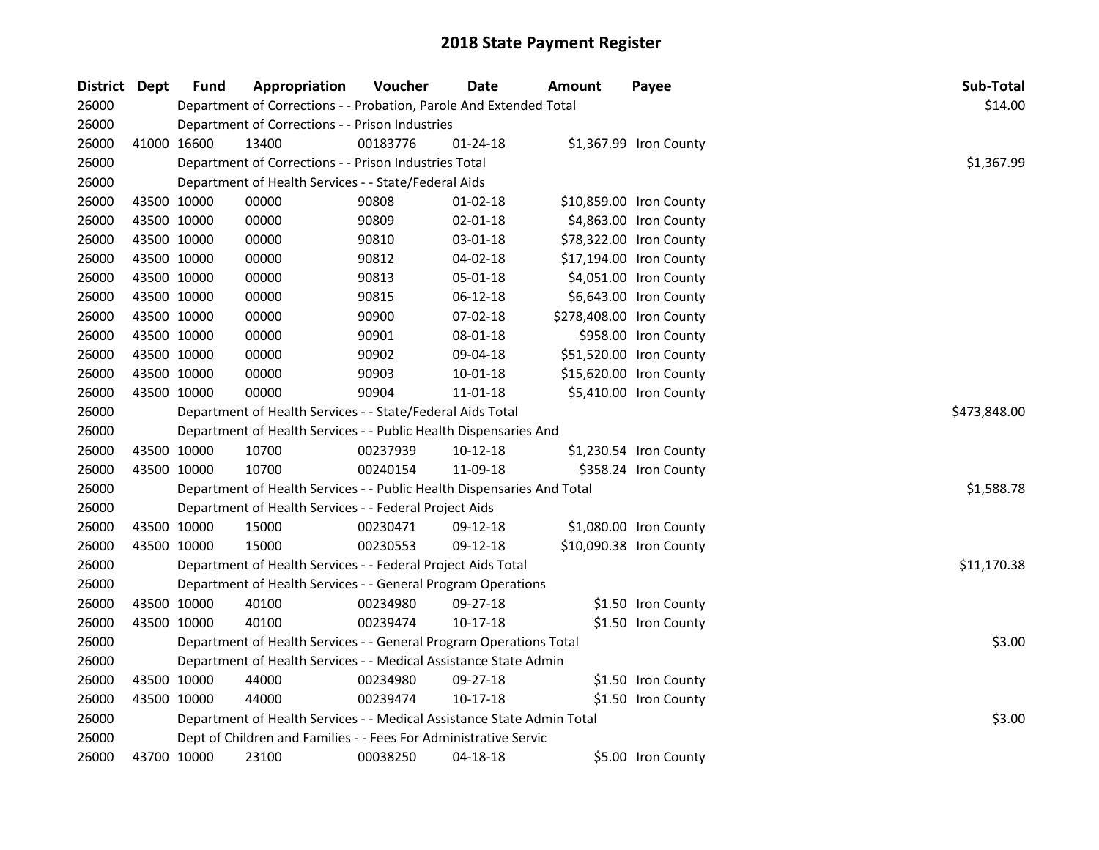| District Dept | <b>Fund</b> | Appropriation                                                          | Voucher      | <b>Date</b>    | Amount | Payee                    | Sub-Total   |
|---------------|-------------|------------------------------------------------------------------------|--------------|----------------|--------|--------------------------|-------------|
| 26000         |             | Department of Corrections - - Probation, Parole And Extended Total     |              |                |        |                          | \$14.00     |
| 26000         |             | Department of Corrections - - Prison Industries                        |              |                |        |                          |             |
| 26000         | 41000 16600 | 13400                                                                  | 00183776     | 01-24-18       |        | \$1,367.99 Iron County   |             |
| 26000         |             | Department of Corrections - - Prison Industries Total                  |              |                |        |                          | \$1,367.99  |
| 26000         |             | Department of Health Services - - State/Federal Aids                   |              |                |        |                          |             |
| 26000         | 43500 10000 | 00000                                                                  | 90808        | $01-02-18$     |        | \$10,859.00 Iron County  |             |
| 26000         | 43500 10000 | 00000                                                                  | 90809        | $02 - 01 - 18$ |        | \$4,863.00 Iron County   |             |
| 26000         | 43500 10000 | 00000                                                                  | 90810        | 03-01-18       |        | \$78,322.00 Iron County  |             |
| 26000         | 43500 10000 | 00000                                                                  | 90812        | 04-02-18       |        | \$17,194.00 Iron County  |             |
| 26000         | 43500 10000 | 00000                                                                  | 90813        | 05-01-18       |        | \$4,051.00 Iron County   |             |
| 26000         | 43500 10000 | 00000                                                                  | 90815        | 06-12-18       |        | \$6,643.00 Iron County   |             |
| 26000         | 43500 10000 | 00000                                                                  | 90900        | 07-02-18       |        | \$278,408.00 Iron County |             |
| 26000         | 43500 10000 | 00000                                                                  | 90901        | 08-01-18       |        | \$958.00 Iron County     |             |
| 26000         | 43500 10000 | 00000                                                                  | 90902        | 09-04-18       |        | \$51,520.00 Iron County  |             |
| 26000         | 43500 10000 | 00000                                                                  | 90903        | 10-01-18       |        | \$15,620.00 Iron County  |             |
| 26000         | 43500 10000 | 00000                                                                  | 90904        | 11-01-18       |        | \$5,410.00 Iron County   |             |
| 26000         |             | Department of Health Services - - State/Federal Aids Total             | \$473,848.00 |                |        |                          |             |
| 26000         |             | Department of Health Services - - Public Health Dispensaries And       |              |                |        |                          |             |
| 26000         | 43500 10000 | 10700                                                                  | 00237939     | $10-12-18$     |        | \$1,230.54 Iron County   |             |
| 26000         | 43500 10000 | 10700                                                                  | 00240154     | 11-09-18       |        | \$358.24 Iron County     |             |
| 26000         |             | Department of Health Services - - Public Health Dispensaries And Total |              |                |        |                          | \$1,588.78  |
| 26000         |             | Department of Health Services - - Federal Project Aids                 |              |                |        |                          |             |
| 26000         | 43500 10000 | 15000                                                                  | 00230471     | 09-12-18       |        | \$1,080.00 Iron County   |             |
| 26000         | 43500 10000 | 15000                                                                  | 00230553     | 09-12-18       |        | \$10,090.38 Iron County  |             |
| 26000         |             | Department of Health Services - - Federal Project Aids Total           |              |                |        |                          | \$11,170.38 |
| 26000         |             | Department of Health Services - - General Program Operations           |              |                |        |                          |             |
| 26000         | 43500 10000 | 40100                                                                  | 00234980     | 09-27-18       |        | \$1.50 Iron County       |             |
| 26000         | 43500 10000 | 40100                                                                  | 00239474     | $10-17-18$     |        | \$1.50 Iron County       |             |
| 26000         |             | Department of Health Services - - General Program Operations Total     |              |                |        |                          | \$3.00      |
| 26000         |             | Department of Health Services - - Medical Assistance State Admin       |              |                |        |                          |             |
| 26000         | 43500 10000 | 44000                                                                  | 00234980     | 09-27-18       |        | \$1.50 Iron County       |             |
| 26000         | 43500 10000 | 44000                                                                  | 00239474     | 10-17-18       |        | \$1.50 Iron County       |             |
| 26000         |             | Department of Health Services - - Medical Assistance State Admin Total |              |                |        |                          | \$3.00      |
| 26000         |             | Dept of Children and Families - - Fees For Administrative Servic       |              |                |        |                          |             |
| 26000         | 43700 10000 | 23100                                                                  | 00038250     | 04-18-18       |        | \$5.00 Iron County       |             |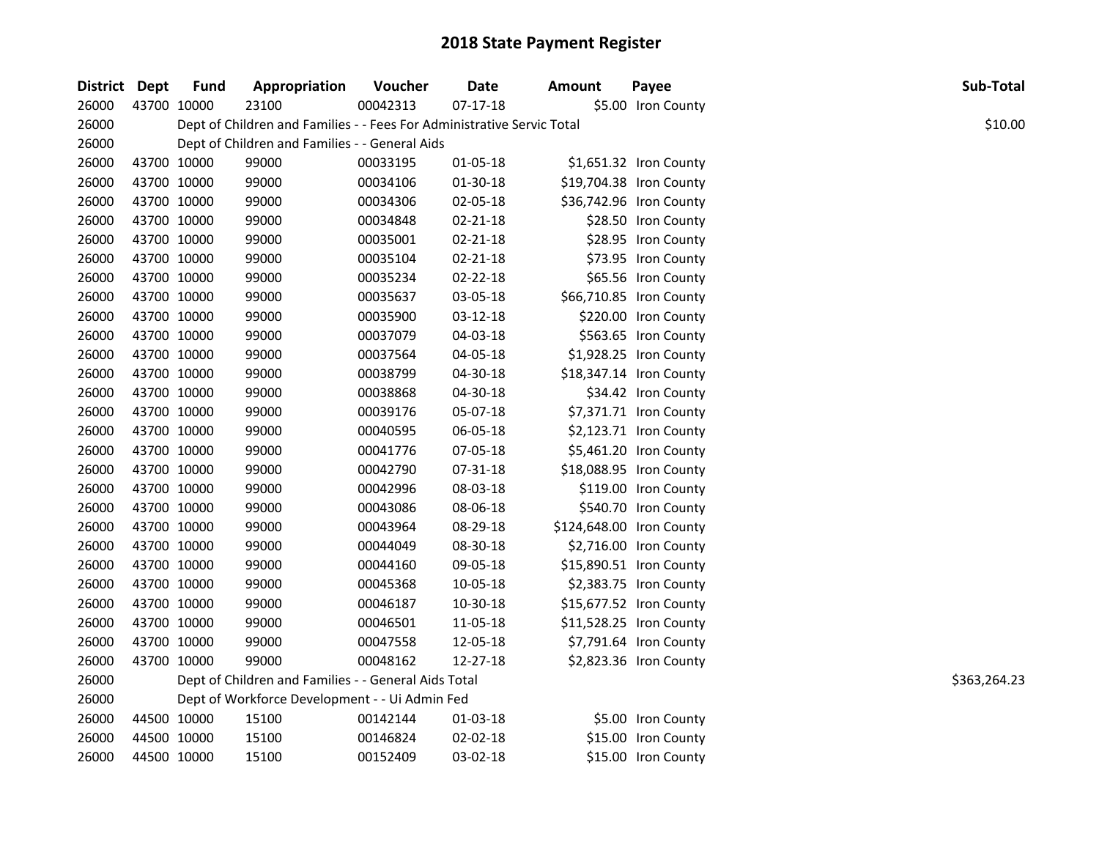| District Dept | <b>Fund</b> | Appropriation                                                          | Voucher  | Date           | <b>Amount</b> | Payee                    | Sub-Total    |
|---------------|-------------|------------------------------------------------------------------------|----------|----------------|---------------|--------------------------|--------------|
| 26000         | 43700 10000 | 23100                                                                  | 00042313 | $07-17-18$     |               | \$5.00 Iron County       |              |
| 26000         |             | Dept of Children and Families - - Fees For Administrative Servic Total |          |                |               |                          | \$10.00      |
| 26000         |             | Dept of Children and Families - - General Aids                         |          |                |               |                          |              |
| 26000         | 43700 10000 | 99000                                                                  | 00033195 | 01-05-18       |               | \$1,651.32 Iron County   |              |
| 26000         | 43700 10000 | 99000                                                                  | 00034106 | 01-30-18       |               | \$19,704.38 Iron County  |              |
| 26000         | 43700 10000 | 99000                                                                  | 00034306 | 02-05-18       |               | \$36,742.96 Iron County  |              |
| 26000         | 43700 10000 | 99000                                                                  | 00034848 | 02-21-18       |               | \$28.50 Iron County      |              |
| 26000         | 43700 10000 | 99000                                                                  | 00035001 | 02-21-18       |               | \$28.95 Iron County      |              |
| 26000         | 43700 10000 | 99000                                                                  | 00035104 | $02 - 21 - 18$ |               | \$73.95 Iron County      |              |
| 26000         | 43700 10000 | 99000                                                                  | 00035234 | 02-22-18       |               | \$65.56 Iron County      |              |
| 26000         | 43700 10000 | 99000                                                                  | 00035637 | 03-05-18       |               | \$66,710.85 Iron County  |              |
| 26000         | 43700 10000 | 99000                                                                  | 00035900 | 03-12-18       |               | \$220.00 Iron County     |              |
| 26000         | 43700 10000 | 99000                                                                  | 00037079 | 04-03-18       |               | \$563.65 Iron County     |              |
| 26000         | 43700 10000 | 99000                                                                  | 00037564 | 04-05-18       |               | \$1,928.25 Iron County   |              |
| 26000         | 43700 10000 | 99000                                                                  | 00038799 | 04-30-18       |               | \$18,347.14 Iron County  |              |
| 26000         | 43700 10000 | 99000                                                                  | 00038868 | 04-30-18       |               | \$34.42 Iron County      |              |
| 26000         | 43700 10000 | 99000                                                                  | 00039176 | 05-07-18       |               | \$7,371.71 Iron County   |              |
| 26000         | 43700 10000 | 99000                                                                  | 00040595 | 06-05-18       |               | \$2,123.71 Iron County   |              |
| 26000         | 43700 10000 | 99000                                                                  | 00041776 | 07-05-18       |               | \$5,461.20 Iron County   |              |
| 26000         | 43700 10000 | 99000                                                                  | 00042790 | 07-31-18       |               | \$18,088.95 Iron County  |              |
| 26000         | 43700 10000 | 99000                                                                  | 00042996 | 08-03-18       |               | \$119.00 Iron County     |              |
| 26000         | 43700 10000 | 99000                                                                  | 00043086 | 08-06-18       |               | \$540.70 Iron County     |              |
| 26000         | 43700 10000 | 99000                                                                  | 00043964 | 08-29-18       |               | \$124,648.00 Iron County |              |
| 26000         | 43700 10000 | 99000                                                                  | 00044049 | 08-30-18       |               | \$2,716.00 Iron County   |              |
| 26000         | 43700 10000 | 99000                                                                  | 00044160 | 09-05-18       |               | \$15,890.51 Iron County  |              |
| 26000         | 43700 10000 | 99000                                                                  | 00045368 | 10-05-18       |               | \$2,383.75 Iron County   |              |
| 26000         | 43700 10000 | 99000                                                                  | 00046187 | 10-30-18       |               | \$15,677.52 Iron County  |              |
| 26000         | 43700 10000 | 99000                                                                  | 00046501 | 11-05-18       |               | \$11,528.25 Iron County  |              |
| 26000         | 43700 10000 | 99000                                                                  | 00047558 | 12-05-18       |               | \$7,791.64 Iron County   |              |
| 26000         | 43700 10000 | 99000                                                                  | 00048162 | 12-27-18       |               | \$2,823.36 Iron County   |              |
| 26000         |             | Dept of Children and Families - - General Aids Total                   |          |                |               |                          | \$363,264.23 |
| 26000         |             | Dept of Workforce Development - - Ui Admin Fed                         |          |                |               |                          |              |
| 26000         | 44500 10000 | 15100                                                                  | 00142144 | 01-03-18       |               | \$5.00 Iron County       |              |
| 26000         | 44500 10000 | 15100                                                                  | 00146824 | 02-02-18       |               | \$15.00 Iron County      |              |
| 26000         | 44500 10000 | 15100                                                                  | 00152409 | 03-02-18       |               | \$15.00 Iron County      |              |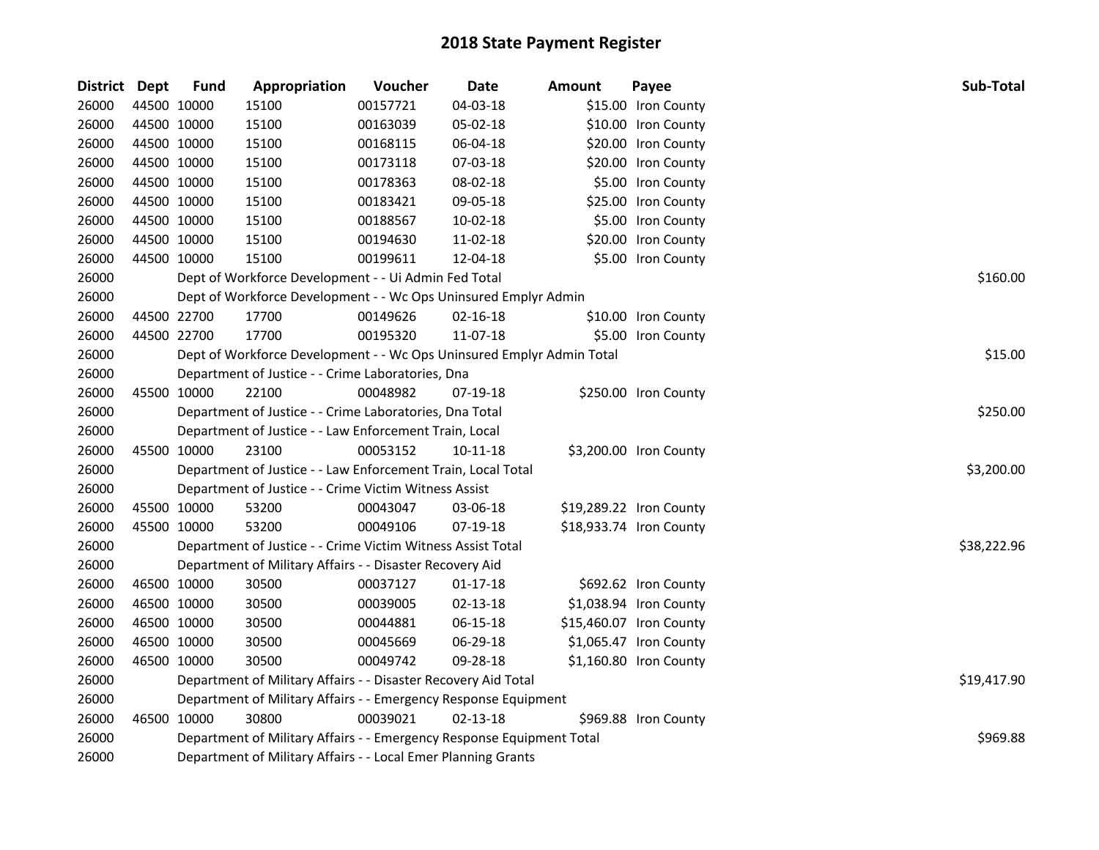| District Dept |             | <b>Fund</b> | Appropriation                                                         | Voucher  | <b>Date</b>    | Amount | Payee                   | Sub-Total   |
|---------------|-------------|-------------|-----------------------------------------------------------------------|----------|----------------|--------|-------------------------|-------------|
| 26000         | 44500 10000 |             | 15100                                                                 | 00157721 | 04-03-18       |        | \$15.00 Iron County     |             |
| 26000         | 44500 10000 |             | 15100                                                                 | 00163039 | 05-02-18       |        | \$10.00 Iron County     |             |
| 26000         | 44500 10000 |             | 15100                                                                 | 00168115 | 06-04-18       |        | \$20.00 Iron County     |             |
| 26000         | 44500 10000 |             | 15100                                                                 | 00173118 | 07-03-18       |        | \$20.00 Iron County     |             |
| 26000         | 44500 10000 |             | 15100                                                                 | 00178363 | 08-02-18       |        | \$5.00 Iron County      |             |
| 26000         |             | 44500 10000 | 15100                                                                 | 00183421 | 09-05-18       |        | \$25.00 Iron County     |             |
| 26000         |             | 44500 10000 | 15100                                                                 | 00188567 | 10-02-18       |        | \$5.00 Iron County      |             |
| 26000         | 44500 10000 |             | 15100                                                                 | 00194630 | 11-02-18       |        | \$20.00 Iron County     |             |
| 26000         | 44500 10000 |             | 15100                                                                 | 00199611 | 12-04-18       |        | \$5.00 Iron County      |             |
| 26000         |             |             | Dept of Workforce Development - - Ui Admin Fed Total                  | \$160.00 |                |        |                         |             |
| 26000         |             |             | Dept of Workforce Development - - Wc Ops Uninsured Emplyr Admin       |          |                |        |                         |             |
| 26000         |             | 44500 22700 | 17700                                                                 | 00149626 | 02-16-18       |        | \$10.00 Iron County     |             |
| 26000         |             | 44500 22700 | 17700                                                                 | 00195320 | 11-07-18       |        | \$5.00 Iron County      |             |
| 26000         |             |             | Dept of Workforce Development - - Wc Ops Uninsured Emplyr Admin Total |          |                |        |                         | \$15.00     |
| 26000         |             |             | Department of Justice - - Crime Laboratories, Dna                     |          |                |        |                         |             |
| 26000         |             | 45500 10000 | 22100                                                                 | 00048982 | 07-19-18       |        | \$250.00 Iron County    |             |
| 26000         |             |             | Department of Justice - - Crime Laboratories, Dna Total               | \$250.00 |                |        |                         |             |
| 26000         |             |             | Department of Justice - - Law Enforcement Train, Local                |          |                |        |                         |             |
| 26000         |             | 45500 10000 | 23100                                                                 | 00053152 | $10 - 11 - 18$ |        | \$3,200.00 Iron County  |             |
| 26000         |             |             | Department of Justice - - Law Enforcement Train, Local Total          |          |                |        |                         | \$3,200.00  |
| 26000         |             |             | Department of Justice - - Crime Victim Witness Assist                 |          |                |        |                         |             |
| 26000         |             | 45500 10000 | 53200                                                                 | 00043047 | 03-06-18       |        | \$19,289.22 Iron County |             |
| 26000         | 45500 10000 |             | 53200                                                                 | 00049106 | 07-19-18       |        | \$18,933.74 Iron County |             |
| 26000         |             |             | Department of Justice - - Crime Victim Witness Assist Total           |          |                |        |                         | \$38,222.96 |
| 26000         |             |             | Department of Military Affairs - - Disaster Recovery Aid              |          |                |        |                         |             |
| 26000         |             | 46500 10000 | 30500                                                                 | 00037127 | $01 - 17 - 18$ |        | \$692.62 Iron County    |             |
| 26000         |             | 46500 10000 | 30500                                                                 | 00039005 | 02-13-18       |        | \$1,038.94 Iron County  |             |
| 26000         |             | 46500 10000 | 30500                                                                 | 00044881 | 06-15-18       |        | \$15,460.07 Iron County |             |
| 26000         |             | 46500 10000 | 30500                                                                 | 00045669 | 06-29-18       |        | \$1,065.47 Iron County  |             |
| 26000         |             | 46500 10000 | 30500                                                                 | 00049742 | 09-28-18       |        | \$1,160.80 Iron County  |             |
| 26000         |             |             | Department of Military Affairs - - Disaster Recovery Aid Total        |          |                |        |                         | \$19,417.90 |
| 26000         |             |             | Department of Military Affairs - - Emergency Response Equipment       |          |                |        |                         |             |
| 26000         | 46500 10000 |             | 30800                                                                 | 00039021 | $02 - 13 - 18$ |        | \$969.88 Iron County    |             |
| 26000         |             |             | Department of Military Affairs - - Emergency Response Equipment Total |          |                |        |                         | \$969.88    |
| 26000         |             |             | Department of Military Affairs - - Local Emer Planning Grants         |          |                |        |                         |             |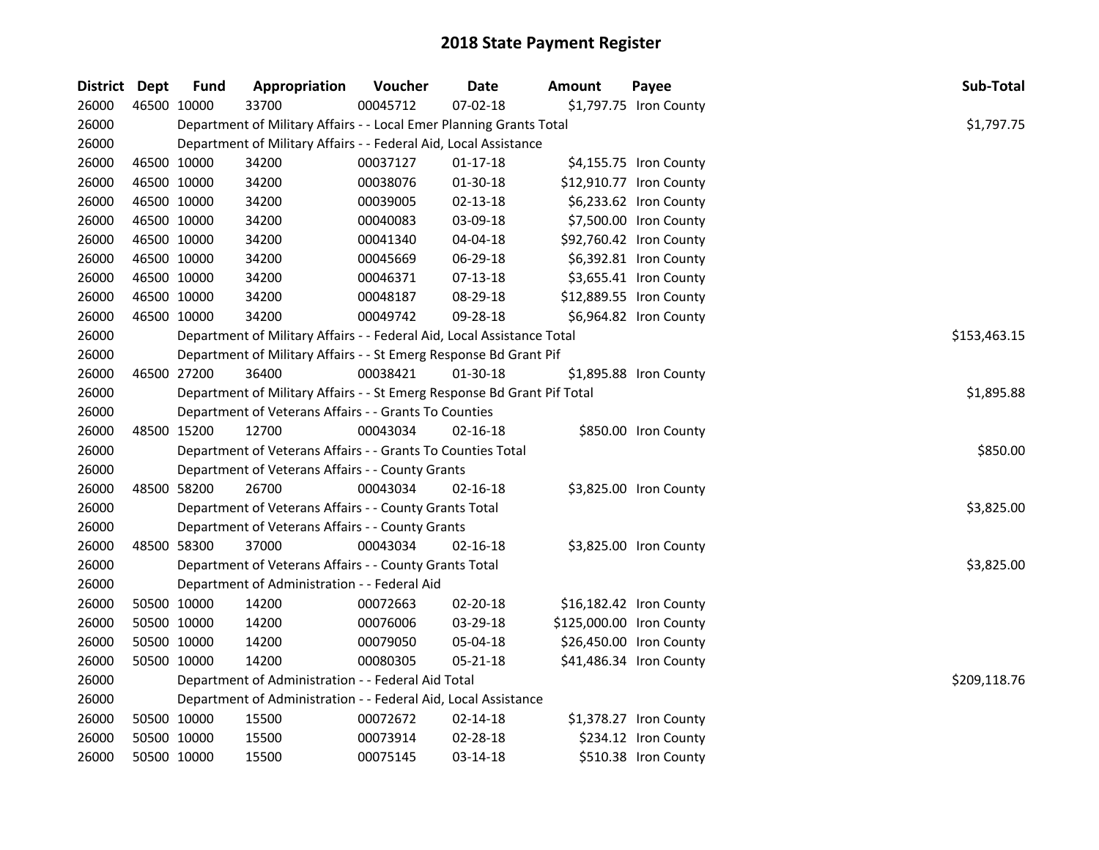| District Dept |             | <b>Fund</b> | Appropriation                                                           | Voucher  | <b>Date</b>    | <b>Amount</b> | Payee                    | Sub-Total    |
|---------------|-------------|-------------|-------------------------------------------------------------------------|----------|----------------|---------------|--------------------------|--------------|
| 26000         | 46500 10000 |             | 33700                                                                   | 00045712 | 07-02-18       |               | \$1,797.75 Iron County   |              |
| 26000         |             |             | Department of Military Affairs - - Local Emer Planning Grants Total     |          |                |               |                          | \$1,797.75   |
| 26000         |             |             | Department of Military Affairs - - Federal Aid, Local Assistance        |          |                |               |                          |              |
| 26000         | 46500 10000 |             | 34200                                                                   | 00037127 | 01-17-18       |               | \$4,155.75 Iron County   |              |
| 26000         | 46500 10000 |             | 34200                                                                   | 00038076 | 01-30-18       |               | \$12,910.77 Iron County  |              |
| 26000         | 46500 10000 |             | 34200                                                                   | 00039005 | $02 - 13 - 18$ |               | \$6,233.62 Iron County   |              |
| 26000         | 46500 10000 |             | 34200                                                                   | 00040083 | 03-09-18       |               | \$7,500.00 Iron County   |              |
| 26000         | 46500 10000 |             | 34200                                                                   | 00041340 | 04-04-18       |               | \$92,760.42 Iron County  |              |
| 26000         | 46500 10000 |             | 34200                                                                   | 00045669 | 06-29-18       |               | \$6,392.81 Iron County   |              |
| 26000         | 46500 10000 |             | 34200                                                                   | 00046371 | $07-13-18$     |               | \$3,655.41 Iron County   |              |
| 26000         | 46500 10000 |             | 34200                                                                   | 00048187 | 08-29-18       |               | \$12,889.55 Iron County  |              |
| 26000         | 46500 10000 |             | 34200                                                                   | 00049742 | 09-28-18       |               | \$6,964.82 Iron County   |              |
| 26000         |             |             | Department of Military Affairs - - Federal Aid, Local Assistance Total  |          |                |               |                          | \$153,463.15 |
| 26000         |             |             | Department of Military Affairs - - St Emerg Response Bd Grant Pif       |          |                |               |                          |              |
| 26000         | 46500 27200 |             | 36400                                                                   | 00038421 | 01-30-18       |               | \$1,895.88 Iron County   |              |
| 26000         |             |             | Department of Military Affairs - - St Emerg Response Bd Grant Pif Total |          |                |               |                          | \$1,895.88   |
| 26000         |             |             | Department of Veterans Affairs - - Grants To Counties                   |          |                |               |                          |              |
| 26000         | 48500 15200 |             | 12700                                                                   | 00043034 | $02 - 16 - 18$ |               | \$850.00 Iron County     |              |
| 26000         |             |             | Department of Veterans Affairs - - Grants To Counties Total             |          |                |               |                          | \$850.00     |
| 26000         |             |             | Department of Veterans Affairs - - County Grants                        |          |                |               |                          |              |
| 26000         | 48500 58200 |             | 26700                                                                   | 00043034 | $02 - 16 - 18$ |               | \$3,825.00 Iron County   |              |
| 26000         |             |             | Department of Veterans Affairs - - County Grants Total                  |          |                |               |                          | \$3,825.00   |
| 26000         |             |             | Department of Veterans Affairs - - County Grants                        |          |                |               |                          |              |
| 26000         | 48500 58300 |             | 37000                                                                   | 00043034 | $02 - 16 - 18$ |               | \$3,825.00 Iron County   |              |
| 26000         |             |             | Department of Veterans Affairs - - County Grants Total                  |          |                |               |                          | \$3,825.00   |
| 26000         |             |             | Department of Administration - - Federal Aid                            |          |                |               |                          |              |
| 26000         | 50500 10000 |             | 14200                                                                   | 00072663 | 02-20-18       |               | \$16,182.42 Iron County  |              |
| 26000         | 50500 10000 |             | 14200                                                                   | 00076006 | 03-29-18       |               | \$125,000.00 Iron County |              |
| 26000         | 50500 10000 |             | 14200                                                                   | 00079050 | 05-04-18       |               | \$26,450.00 Iron County  |              |
| 26000         | 50500 10000 |             | 14200                                                                   | 00080305 | 05-21-18       |               | \$41,486.34 Iron County  |              |
| 26000         |             |             | Department of Administration - - Federal Aid Total                      |          |                |               |                          | \$209,118.76 |
| 26000         |             |             | Department of Administration - - Federal Aid, Local Assistance          |          |                |               |                          |              |
| 26000         | 50500 10000 |             | 15500                                                                   | 00072672 | 02-14-18       |               | \$1,378.27 Iron County   |              |
| 26000         | 50500 10000 |             | 15500                                                                   | 00073914 | 02-28-18       |               | \$234.12 Iron County     |              |
| 26000         | 50500 10000 |             | 15500                                                                   | 00075145 | 03-14-18       |               | \$510.38 Iron County     |              |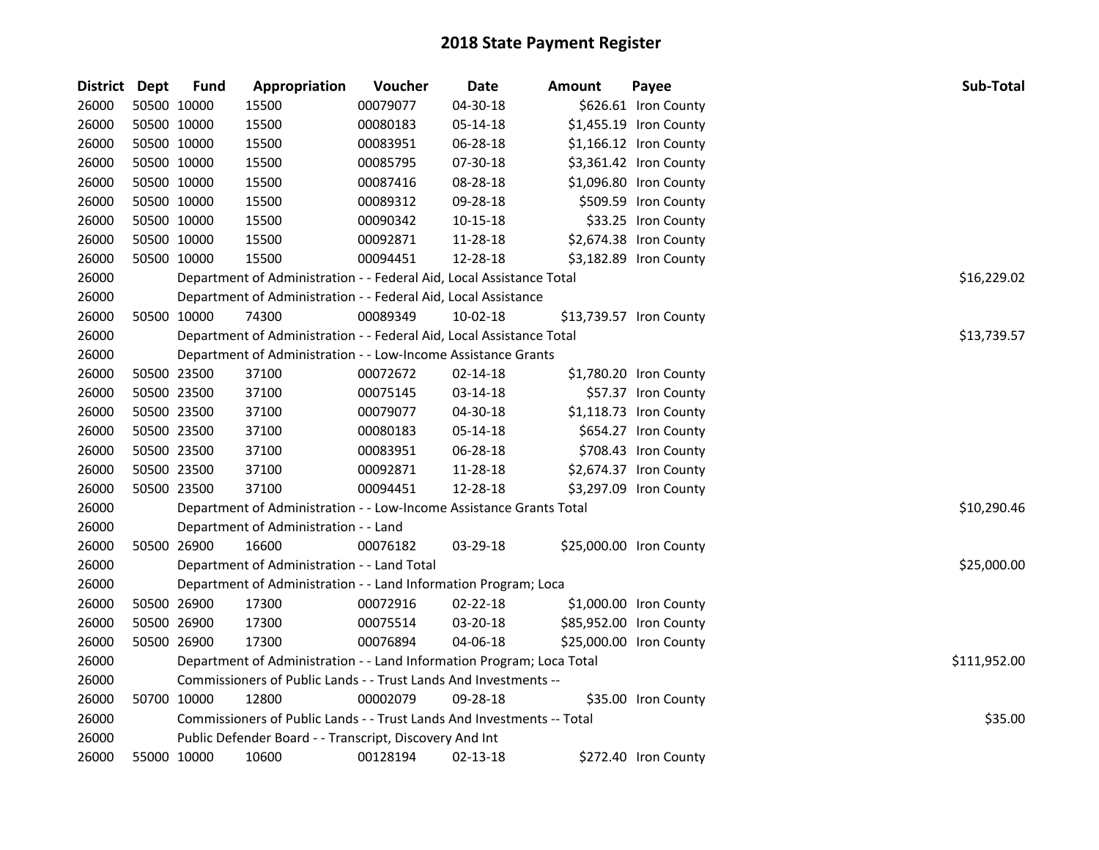| District Dept | <b>Fund</b> | Appropriation                                                          | Voucher  | <b>Date</b>    | <b>Amount</b> | Payee                   | Sub-Total    |
|---------------|-------------|------------------------------------------------------------------------|----------|----------------|---------------|-------------------------|--------------|
| 26000         | 50500 10000 | 15500                                                                  | 00079077 | 04-30-18       |               | \$626.61 Iron County    |              |
| 26000         | 50500 10000 | 15500                                                                  | 00080183 | 05-14-18       |               | \$1,455.19 Iron County  |              |
| 26000         | 50500 10000 | 15500                                                                  | 00083951 | 06-28-18       |               | \$1,166.12 Iron County  |              |
| 26000         | 50500 10000 | 15500                                                                  | 00085795 | 07-30-18       |               | \$3,361.42 Iron County  |              |
| 26000         | 50500 10000 | 15500                                                                  | 00087416 | 08-28-18       |               | \$1,096.80 Iron County  |              |
| 26000         | 50500 10000 | 15500                                                                  | 00089312 | 09-28-18       |               | \$509.59 Iron County    |              |
| 26000         | 50500 10000 | 15500                                                                  | 00090342 | $10 - 15 - 18$ |               | \$33.25 Iron County     |              |
| 26000         | 50500 10000 | 15500                                                                  | 00092871 | 11-28-18       |               | \$2,674.38 Iron County  |              |
| 26000         | 50500 10000 | 15500                                                                  | 00094451 | 12-28-18       |               | \$3,182.89 Iron County  |              |
| 26000         |             | Department of Administration - - Federal Aid, Local Assistance Total   |          |                |               |                         | \$16,229.02  |
| 26000         |             | Department of Administration - - Federal Aid, Local Assistance         |          |                |               |                         |              |
| 26000         | 50500 10000 | 74300                                                                  | 00089349 | 10-02-18       |               | \$13,739.57 Iron County |              |
| 26000         |             | Department of Administration - - Federal Aid, Local Assistance Total   |          |                |               |                         | \$13,739.57  |
| 26000         |             | Department of Administration - - Low-Income Assistance Grants          |          |                |               |                         |              |
| 26000         | 50500 23500 | 37100                                                                  | 00072672 | 02-14-18       |               | \$1,780.20 Iron County  |              |
| 26000         | 50500 23500 | 37100                                                                  | 00075145 | 03-14-18       |               | \$57.37 Iron County     |              |
| 26000         | 50500 23500 | 37100                                                                  | 00079077 | 04-30-18       |               | \$1,118.73 Iron County  |              |
| 26000         | 50500 23500 | 37100                                                                  | 00080183 | 05-14-18       |               | \$654.27 Iron County    |              |
| 26000         | 50500 23500 | 37100                                                                  | 00083951 | 06-28-18       |               | \$708.43 Iron County    |              |
| 26000         | 50500 23500 | 37100                                                                  | 00092871 | 11-28-18       |               | \$2,674.37 Iron County  |              |
| 26000         | 50500 23500 | 37100                                                                  | 00094451 | 12-28-18       |               | \$3,297.09 Iron County  |              |
| 26000         |             | Department of Administration - - Low-Income Assistance Grants Total    |          |                |               |                         | \$10,290.46  |
| 26000         |             | Department of Administration - - Land                                  |          |                |               |                         |              |
| 26000         | 50500 26900 | 16600                                                                  | 00076182 | 03-29-18       |               | \$25,000.00 Iron County |              |
| 26000         |             | Department of Administration - - Land Total                            |          |                |               |                         | \$25,000.00  |
| 26000         |             | Department of Administration - - Land Information Program; Loca        |          |                |               |                         |              |
| 26000         | 50500 26900 | 17300                                                                  | 00072916 | 02-22-18       |               | \$1,000.00 Iron County  |              |
| 26000         | 50500 26900 | 17300                                                                  | 00075514 | 03-20-18       |               | \$85,952.00 Iron County |              |
| 26000         | 50500 26900 | 17300                                                                  | 00076894 | 04-06-18       |               | \$25,000.00 Iron County |              |
| 26000         |             | Department of Administration - - Land Information Program; Loca Total  |          |                |               |                         | \$111,952.00 |
| 26000         |             | Commissioners of Public Lands - - Trust Lands And Investments --       |          |                |               |                         |              |
| 26000         | 50700 10000 | 12800                                                                  | 00002079 | 09-28-18       |               | \$35.00 Iron County     |              |
| 26000         |             | Commissioners of Public Lands - - Trust Lands And Investments -- Total |          |                |               |                         | \$35.00      |
| 26000         |             | Public Defender Board - - Transcript, Discovery And Int                |          |                |               |                         |              |
| 26000         | 55000 10000 | 10600                                                                  | 00128194 | 02-13-18       |               | \$272.40 Iron County    |              |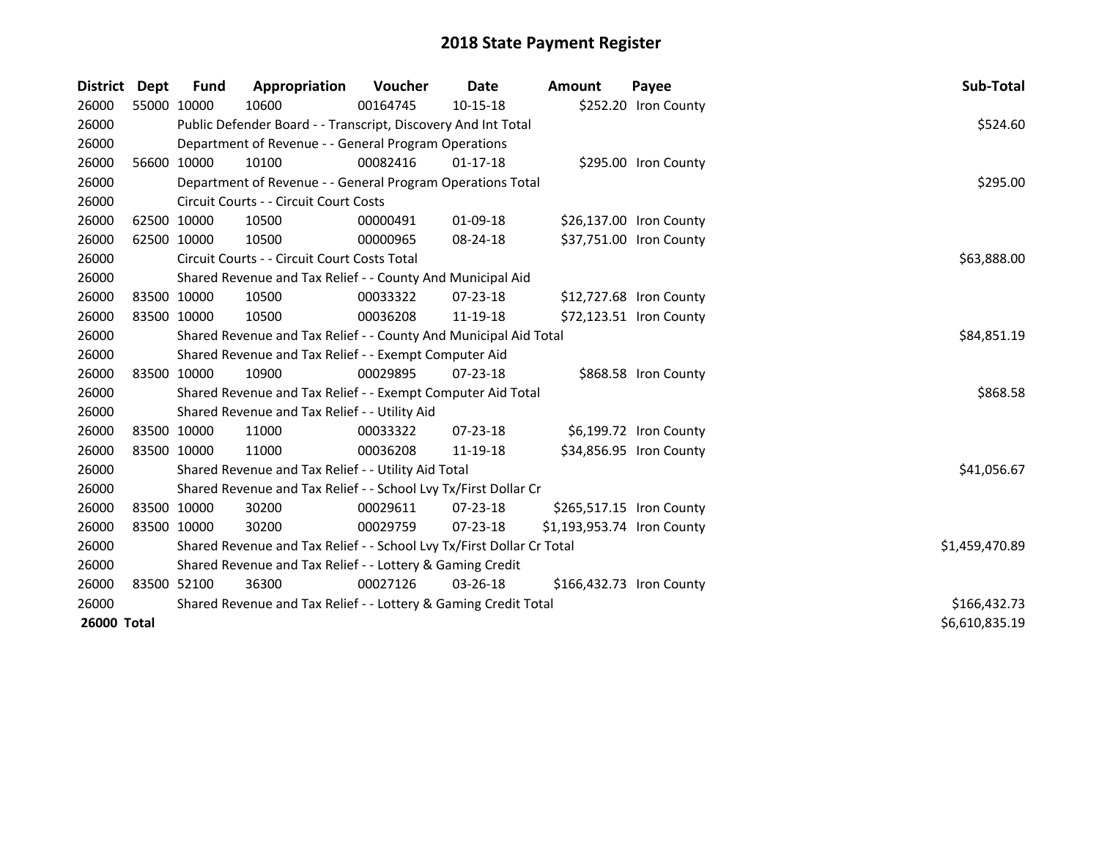| <b>District</b> | Dept        | <b>Fund</b> | Appropriation                                                         | Voucher  | Date           | <b>Amount</b>              | Payee                    | Sub-Total      |
|-----------------|-------------|-------------|-----------------------------------------------------------------------|----------|----------------|----------------------------|--------------------------|----------------|
| 26000           | 55000 10000 |             | 10600                                                                 | 00164745 | 10-15-18       |                            | \$252.20 Iron County     |                |
| 26000           |             |             | Public Defender Board - - Transcript, Discovery And Int Total         |          |                |                            |                          | \$524.60       |
| 26000           |             |             | Department of Revenue - - General Program Operations                  |          |                |                            |                          |                |
| 26000           |             | 56600 10000 | 10100                                                                 | 00082416 | $01 - 17 - 18$ |                            | \$295.00 Iron County     |                |
| 26000           |             |             | Department of Revenue - - General Program Operations Total            |          |                | \$295.00                   |                          |                |
| 26000           |             |             | Circuit Courts - - Circuit Court Costs                                |          |                |                            |                          |                |
| 26000           |             | 62500 10000 | 10500                                                                 | 00000491 | 01-09-18       |                            | \$26,137.00 Iron County  |                |
| 26000           | 62500 10000 |             | 10500                                                                 | 00000965 | 08-24-18       |                            | \$37,751.00 Iron County  |                |
| 26000           |             |             | Circuit Courts - - Circuit Court Costs Total                          |          |                |                            |                          | \$63,888.00    |
| 26000           |             |             | Shared Revenue and Tax Relief - - County And Municipal Aid            |          |                |                            |                          |                |
| 26000           | 83500 10000 |             | 10500                                                                 | 00033322 | $07 - 23 - 18$ |                            | \$12,727.68 Iron County  |                |
| 26000           |             | 83500 10000 | 10500                                                                 | 00036208 | 11-19-18       |                            | \$72,123.51 Iron County  |                |
| 26000           |             |             | Shared Revenue and Tax Relief - - County And Municipal Aid Total      |          | \$84,851.19    |                            |                          |                |
| 26000           |             |             | Shared Revenue and Tax Relief - - Exempt Computer Aid                 |          |                |                            |                          |                |
| 26000           |             | 83500 10000 | 10900                                                                 | 00029895 | 07-23-18       |                            | \$868.58 Iron County     |                |
| 26000           |             |             | Shared Revenue and Tax Relief - - Exempt Computer Aid Total           |          |                |                            |                          | \$868.58       |
| 26000           |             |             | Shared Revenue and Tax Relief - - Utility Aid                         |          |                |                            |                          |                |
| 26000           | 83500 10000 |             | 11000                                                                 | 00033322 | $07 - 23 - 18$ |                            | \$6,199.72 Iron County   |                |
| 26000           | 83500 10000 |             | 11000                                                                 | 00036208 | 11-19-18       |                            | \$34,856.95 Iron County  |                |
| 26000           |             |             | Shared Revenue and Tax Relief - - Utility Aid Total                   |          |                |                            |                          | \$41,056.67    |
| 26000           |             |             | Shared Revenue and Tax Relief - - School Lvy Tx/First Dollar Cr       |          |                |                            |                          |                |
| 26000           |             | 83500 10000 | 30200                                                                 | 00029611 | 07-23-18       |                            | \$265,517.15 Iron County |                |
| 26000           |             | 83500 10000 | 30200                                                                 | 00029759 | 07-23-18       | \$1,193,953.74 Iron County |                          |                |
| 26000           |             |             | Shared Revenue and Tax Relief - - School Lvy Tx/First Dollar Cr Total |          |                |                            |                          | \$1,459,470.89 |
| 26000           |             |             | Shared Revenue and Tax Relief - - Lottery & Gaming Credit             |          |                |                            |                          |                |
| 26000           |             | 83500 52100 | 36300                                                                 | 00027126 | $03 - 26 - 18$ |                            | \$166,432.73 Iron County |                |
| 26000           |             |             | Shared Revenue and Tax Relief - - Lottery & Gaming Credit Total       |          |                |                            |                          | \$166,432.73   |
| 26000 Total     |             |             |                                                                       |          |                |                            |                          | \$6,610,835.19 |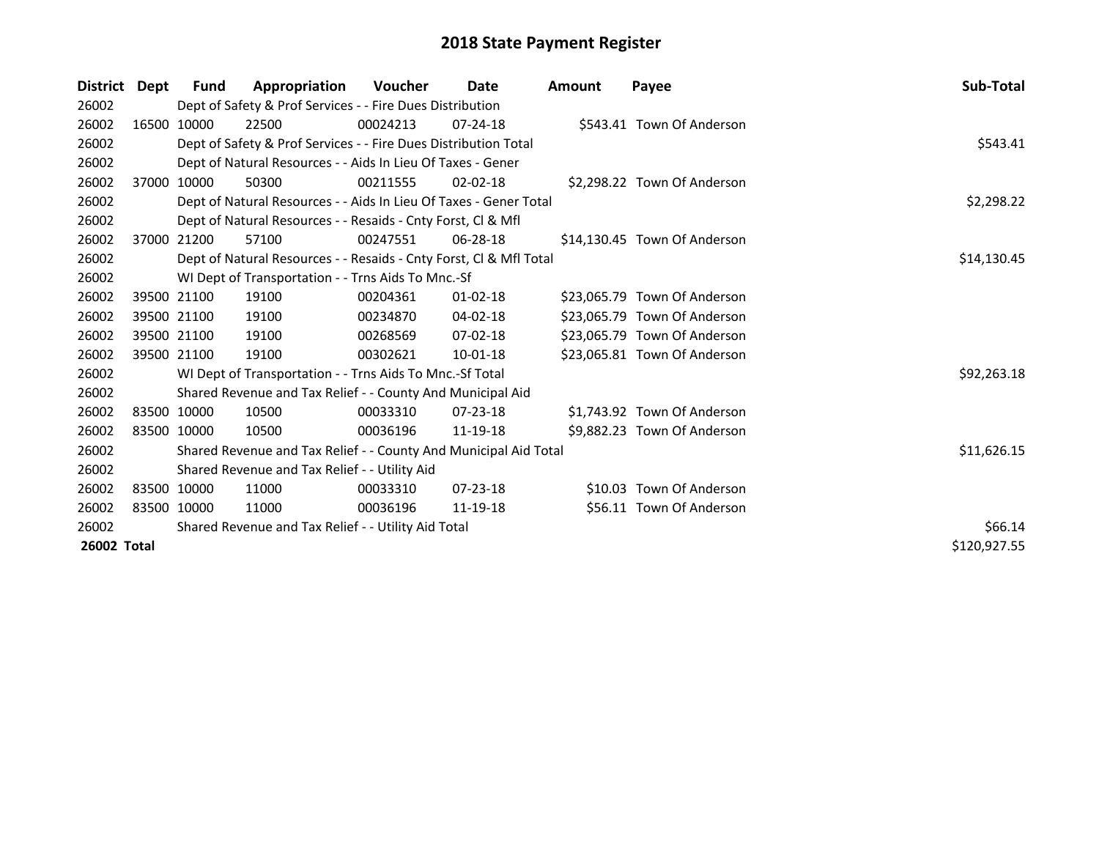| <b>District</b> | Dept | <b>Fund</b>                                         | Appropriation                                                      | Voucher  | Date           | <b>Amount</b> | Payee                        | Sub-Total    |
|-----------------|------|-----------------------------------------------------|--------------------------------------------------------------------|----------|----------------|---------------|------------------------------|--------------|
| 26002           |      |                                                     | Dept of Safety & Prof Services - - Fire Dues Distribution          |          |                |               |                              |              |
| 26002           |      | 16500 10000                                         | 22500                                                              | 00024213 | $07 - 24 - 18$ |               | \$543.41 Town Of Anderson    |              |
| 26002           |      |                                                     | Dept of Safety & Prof Services - - Fire Dues Distribution Total    | \$543.41 |                |               |                              |              |
| 26002           |      |                                                     | Dept of Natural Resources - - Aids In Lieu Of Taxes - Gener        |          |                |               |                              |              |
| 26002           |      | 37000 10000                                         | 50300                                                              | 00211555 | $02 - 02 - 18$ |               | \$2,298.22 Town Of Anderson  |              |
| 26002           |      |                                                     | Dept of Natural Resources - - Aids In Lieu Of Taxes - Gener Total  |          |                |               |                              | \$2,298.22   |
| 26002           |      |                                                     | Dept of Natural Resources - - Resaids - Cnty Forst, Cl & Mfl       |          |                |               |                              |              |
| 26002           |      | 37000 21200                                         | 57100                                                              | 00247551 | $06 - 28 - 18$ |               | \$14,130.45 Town Of Anderson |              |
| 26002           |      |                                                     | Dept of Natural Resources - - Resaids - Cnty Forst, CI & Mfl Total |          |                |               |                              | \$14,130.45  |
| 26002           |      |                                                     | WI Dept of Transportation - - Trns Aids To Mnc.-Sf                 |          |                |               |                              |              |
| 26002           |      | 39500 21100                                         | 19100                                                              | 00204361 | $01 - 02 - 18$ |               | \$23,065.79 Town Of Anderson |              |
| 26002           |      | 39500 21100                                         | 19100                                                              | 00234870 | 04-02-18       |               | \$23,065.79 Town Of Anderson |              |
| 26002           |      | 39500 21100                                         | 19100                                                              | 00268569 | $07 - 02 - 18$ |               | \$23,065.79 Town Of Anderson |              |
| 26002           |      | 39500 21100                                         | 19100                                                              | 00302621 | 10-01-18       |               | \$23,065.81 Town Of Anderson |              |
| 26002           |      |                                                     | WI Dept of Transportation - - Trns Aids To Mnc.-Sf Total           |          |                |               |                              | \$92,263.18  |
| 26002           |      |                                                     | Shared Revenue and Tax Relief - - County And Municipal Aid         |          |                |               |                              |              |
| 26002           |      | 83500 10000                                         | 10500                                                              | 00033310 | $07 - 23 - 18$ |               | \$1,743.92 Town Of Anderson  |              |
| 26002           |      | 83500 10000                                         | 10500                                                              | 00036196 | 11-19-18       |               | \$9,882.23 Town Of Anderson  |              |
| 26002           |      |                                                     | Shared Revenue and Tax Relief - - County And Municipal Aid Total   |          |                |               |                              | \$11,626.15  |
| 26002           |      |                                                     | Shared Revenue and Tax Relief - - Utility Aid                      |          |                |               |                              |              |
| 26002           |      | 83500 10000                                         | 11000                                                              | 00033310 | 07-23-18       |               | \$10.03 Town Of Anderson     |              |
| 26002           |      | 83500 10000                                         | 11000                                                              | 00036196 | 11-19-18       |               | \$56.11 Town Of Anderson     |              |
| 26002           |      | Shared Revenue and Tax Relief - - Utility Aid Total | \$66.14                                                            |          |                |               |                              |              |
| 26002 Total     |      |                                                     |                                                                    |          |                |               |                              | \$120,927.55 |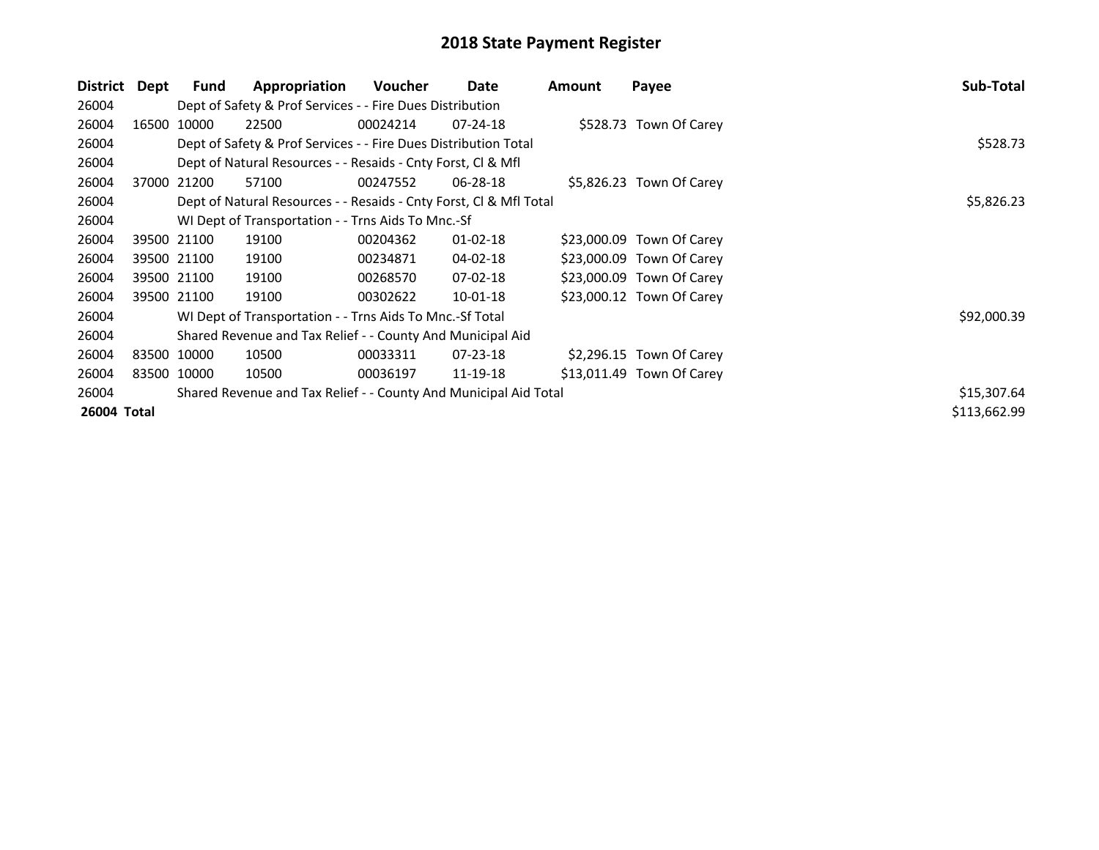| District    | Dept        | Fund        | Appropriation                                                      | Voucher    | Date           | Amount | Payee                     | Sub-Total    |
|-------------|-------------|-------------|--------------------------------------------------------------------|------------|----------------|--------|---------------------------|--------------|
| 26004       |             |             | Dept of Safety & Prof Services - - Fire Dues Distribution          |            |                |        |                           |              |
| 26004       |             | 16500 10000 | 22500                                                              | 00024214   | $07 - 24 - 18$ |        | \$528.73 Town Of Carey    |              |
| 26004       |             |             | Dept of Safety & Prof Services - - Fire Dues Distribution Total    |            |                |        |                           | \$528.73     |
| 26004       |             |             | Dept of Natural Resources - - Resaids - Cnty Forst, Cl & Mfl       |            |                |        |                           |              |
| 26004       |             | 37000 21200 | 57100                                                              | 00247552   | 06-28-18       |        | \$5,826.23 Town Of Carey  |              |
| 26004       |             |             | Dept of Natural Resources - - Resaids - Cnty Forst, CI & Mfl Total | \$5,826.23 |                |        |                           |              |
| 26004       |             |             | WI Dept of Transportation - - Trns Aids To Mnc.-Sf                 |            |                |        |                           |              |
| 26004       |             | 39500 21100 | 19100                                                              | 00204362   | 01-02-18       |        | \$23,000.09 Town Of Carey |              |
| 26004       |             | 39500 21100 | 19100                                                              | 00234871   | 04-02-18       |        | \$23,000.09 Town Of Carey |              |
| 26004       |             | 39500 21100 | 19100                                                              | 00268570   | 07-02-18       |        | \$23,000.09 Town Of Carey |              |
| 26004       |             | 39500 21100 | 19100                                                              | 00302622   | $10 - 01 - 18$ |        | \$23,000.12 Town Of Carey |              |
| 26004       |             |             | WI Dept of Transportation - - Trns Aids To Mnc.-Sf Total           |            |                |        |                           | \$92,000.39  |
| 26004       |             |             | Shared Revenue and Tax Relief - - County And Municipal Aid         |            |                |        |                           |              |
| 26004       | 83500 10000 |             | 10500                                                              | 00033311   | 07-23-18       |        | \$2,296.15 Town Of Carey  |              |
| 26004       |             | 83500 10000 | 10500                                                              | 00036197   | 11-19-18       |        | \$13,011.49 Town Of Carey |              |
| 26004       |             |             | Shared Revenue and Tax Relief - - County And Municipal Aid Total   |            |                |        |                           | \$15,307.64  |
| 26004 Total |             |             |                                                                    |            |                |        |                           | \$113,662.99 |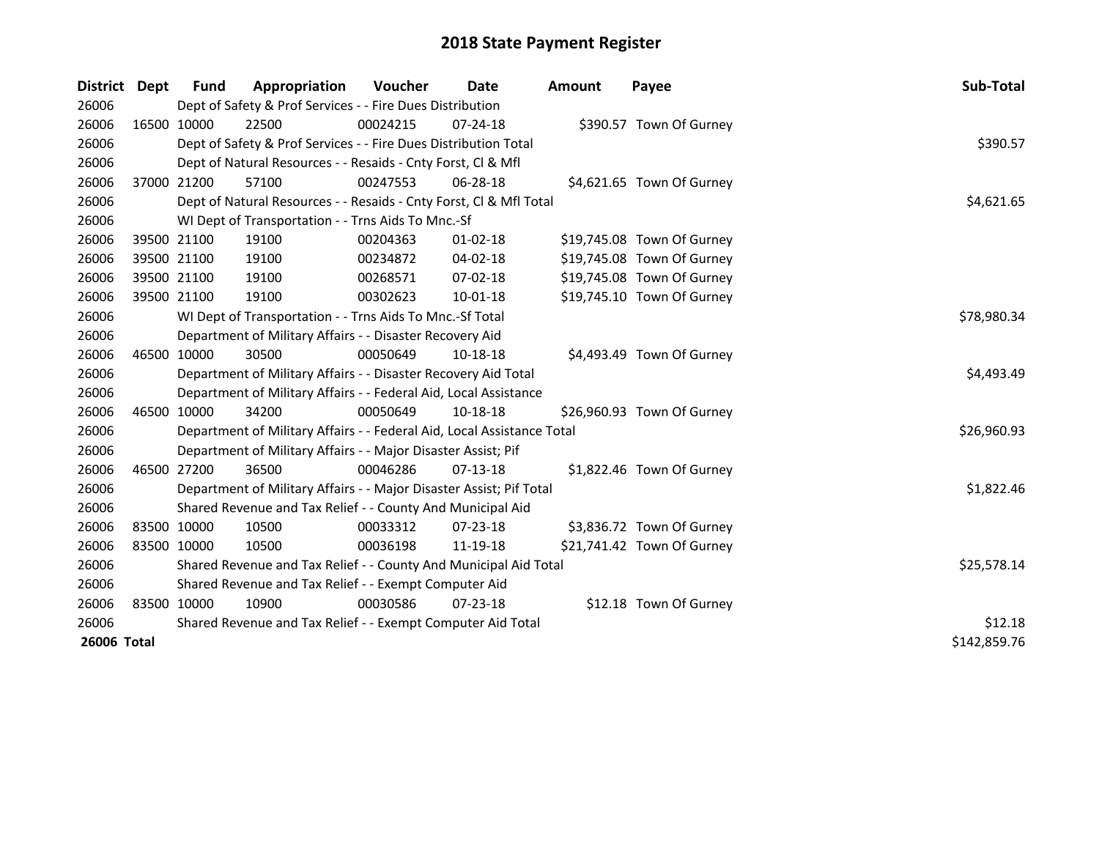| <b>District</b> | <b>Dept</b> | <b>Fund</b>                                                 | Appropriation                                                          | <b>Voucher</b> | Date           | Amount | Payee                      | Sub-Total    |
|-----------------|-------------|-------------------------------------------------------------|------------------------------------------------------------------------|----------------|----------------|--------|----------------------------|--------------|
| 26006           |             |                                                             | Dept of Safety & Prof Services - - Fire Dues Distribution              |                |                |        |                            |              |
| 26006           |             | 16500 10000                                                 | 22500                                                                  | 00024215       | 07-24-18       |        | \$390.57 Town Of Gurney    |              |
| 26006           |             |                                                             | Dept of Safety & Prof Services - - Fire Dues Distribution Total        |                |                |        |                            | \$390.57     |
| 26006           |             |                                                             | Dept of Natural Resources - - Resaids - Cnty Forst, Cl & Mfl           |                |                |        |                            |              |
| 26006           |             | 37000 21200                                                 | 57100                                                                  | 00247553       | 06-28-18       |        | \$4,621.65 Town Of Gurney  |              |
| 26006           |             |                                                             | Dept of Natural Resources - - Resaids - Cnty Forst, Cl & Mfl Total     |                |                |        |                            | \$4,621.65   |
| 26006           |             |                                                             | WI Dept of Transportation - - Trns Aids To Mnc.-Sf                     |                |                |        |                            |              |
| 26006           |             | 39500 21100                                                 | 19100                                                                  | 00204363       | $01 - 02 - 18$ |        | \$19,745.08 Town Of Gurney |              |
| 26006           |             | 39500 21100                                                 | 19100                                                                  | 00234872       | 04-02-18       |        | \$19,745.08 Town Of Gurney |              |
| 26006           |             | 39500 21100                                                 | 19100                                                                  | 00268571       | 07-02-18       |        | \$19,745.08 Town Of Gurney |              |
| 26006           |             | 39500 21100                                                 | 19100                                                                  | 00302623       | 10-01-18       |        | \$19,745.10 Town Of Gurney |              |
| 26006           |             |                                                             | WI Dept of Transportation - - Trns Aids To Mnc.-Sf Total               |                |                |        |                            | \$78,980.34  |
| 26006           |             |                                                             | Department of Military Affairs - - Disaster Recovery Aid               |                |                |        |                            |              |
| 26006           |             | 46500 10000                                                 | 30500                                                                  | 00050649       | 10-18-18       |        | \$4,493.49 Town Of Gurney  |              |
| 26006           |             |                                                             | Department of Military Affairs - - Disaster Recovery Aid Total         |                |                |        |                            | \$4,493.49   |
| 26006           |             |                                                             | Department of Military Affairs - - Federal Aid, Local Assistance       |                |                |        |                            |              |
| 26006           |             | 46500 10000                                                 | 34200                                                                  | 00050649       | 10-18-18       |        | \$26,960.93 Town Of Gurney |              |
| 26006           |             |                                                             | Department of Military Affairs - - Federal Aid, Local Assistance Total |                |                |        |                            | \$26,960.93  |
| 26006           |             |                                                             | Department of Military Affairs - - Major Disaster Assist; Pif          |                |                |        |                            |              |
| 26006           | 46500 27200 |                                                             | 36500                                                                  | 00046286       | $07-13-18$     |        | \$1,822.46 Town Of Gurney  |              |
| 26006           |             |                                                             | Department of Military Affairs - - Major Disaster Assist; Pif Total    |                |                |        |                            | \$1,822.46   |
| 26006           |             |                                                             | Shared Revenue and Tax Relief - - County And Municipal Aid             |                |                |        |                            |              |
| 26006           | 83500 10000 |                                                             | 10500                                                                  | 00033312       | $07 - 23 - 18$ |        | \$3,836.72 Town Of Gurney  |              |
| 26006           | 83500 10000 |                                                             | 10500                                                                  | 00036198       | 11-19-18       |        | \$21,741.42 Town Of Gurney |              |
| 26006           |             |                                                             | Shared Revenue and Tax Relief - - County And Municipal Aid Total       |                |                |        |                            | \$25,578.14  |
| 26006           |             |                                                             | Shared Revenue and Tax Relief - - Exempt Computer Aid                  |                |                |        |                            |              |
| 26006           | 83500 10000 |                                                             | 10900                                                                  | 00030586       | 07-23-18       |        | \$12.18 Town Of Gurney     |              |
| 26006           |             | Shared Revenue and Tax Relief - - Exempt Computer Aid Total | \$12.18                                                                |                |                |        |                            |              |
| 26006 Total     |             |                                                             |                                                                        |                |                |        |                            | \$142,859.76 |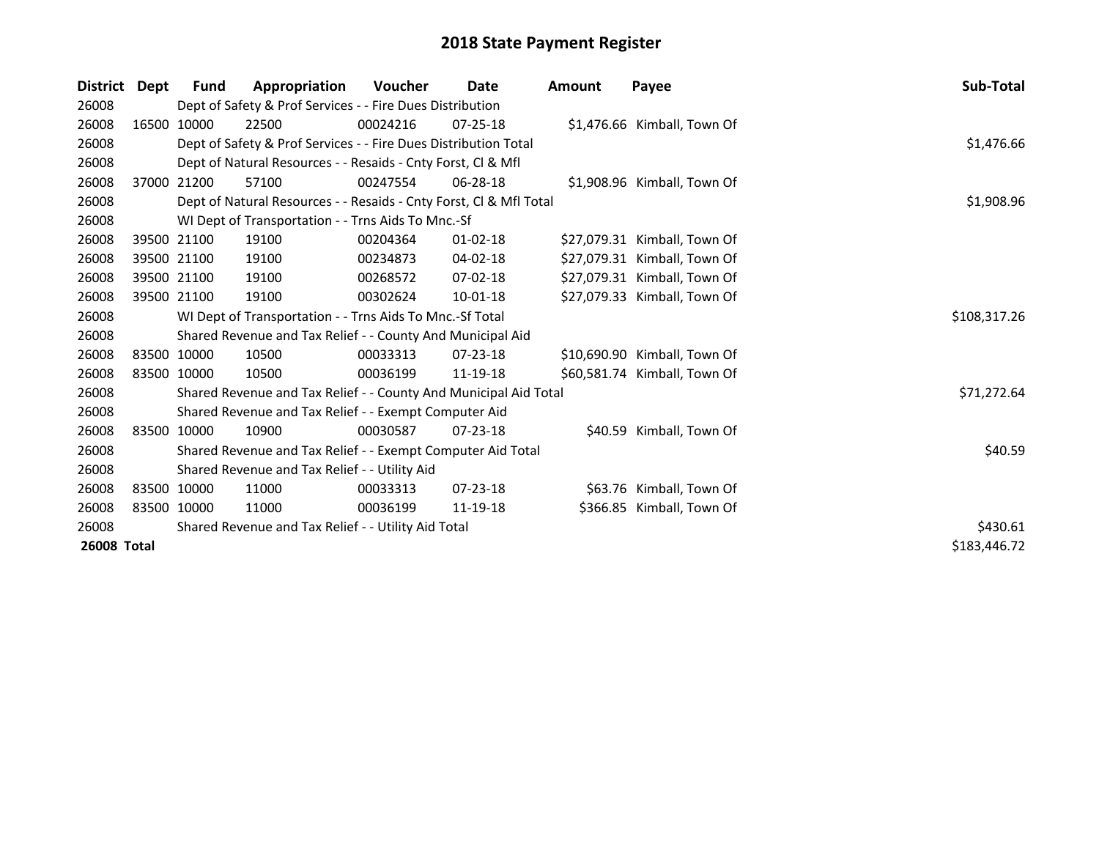| <b>District</b> | Dept | Fund                                                | Appropriation                                                      | Voucher  | Date           | <b>Amount</b> | Payee                        | Sub-Total    |
|-----------------|------|-----------------------------------------------------|--------------------------------------------------------------------|----------|----------------|---------------|------------------------------|--------------|
| 26008           |      |                                                     | Dept of Safety & Prof Services - - Fire Dues Distribution          |          |                |               |                              |              |
| 26008           |      | 16500 10000                                         | 22500                                                              | 00024216 | $07 - 25 - 18$ |               | \$1,476.66 Kimball, Town Of  |              |
| 26008           |      |                                                     | Dept of Safety & Prof Services - - Fire Dues Distribution Total    |          |                |               |                              | \$1,476.66   |
| 26008           |      |                                                     | Dept of Natural Resources - - Resaids - Cnty Forst, CI & Mfl       |          |                |               |                              |              |
| 26008           |      | 37000 21200                                         | 57100                                                              | 00247554 | 06-28-18       |               | \$1,908.96 Kimball, Town Of  |              |
| 26008           |      |                                                     | Dept of Natural Resources - - Resaids - Cnty Forst, CI & Mfl Total |          |                |               |                              | \$1,908.96   |
| 26008           |      |                                                     | WI Dept of Transportation - - Trns Aids To Mnc.-Sf                 |          |                |               |                              |              |
| 26008           |      | 39500 21100                                         | 19100                                                              | 00204364 | $01 - 02 - 18$ |               | \$27,079.31 Kimball, Town Of |              |
| 26008           |      | 39500 21100                                         | 19100                                                              | 00234873 | 04-02-18       |               | \$27,079.31 Kimball, Town Of |              |
| 26008           |      | 39500 21100                                         | 19100                                                              | 00268572 | 07-02-18       |               | \$27,079.31 Kimball, Town Of |              |
| 26008           |      | 39500 21100                                         | 19100                                                              | 00302624 | 10-01-18       |               | \$27,079.33 Kimball, Town Of |              |
| 26008           |      |                                                     | WI Dept of Transportation - - Trns Aids To Mnc.-Sf Total           |          |                |               |                              | \$108,317.26 |
| 26008           |      |                                                     | Shared Revenue and Tax Relief - - County And Municipal Aid         |          |                |               |                              |              |
| 26008           |      | 83500 10000                                         | 10500                                                              | 00033313 | $07 - 23 - 18$ |               | \$10,690.90 Kimball, Town Of |              |
| 26008           |      | 83500 10000                                         | 10500                                                              | 00036199 | 11-19-18       |               | \$60,581.74 Kimball, Town Of |              |
| 26008           |      |                                                     | Shared Revenue and Tax Relief - - County And Municipal Aid Total   |          |                |               |                              | \$71,272.64  |
| 26008           |      |                                                     | Shared Revenue and Tax Relief - - Exempt Computer Aid              |          |                |               |                              |              |
| 26008           |      | 83500 10000                                         | 10900                                                              | 00030587 | $07 - 23 - 18$ |               | \$40.59 Kimball, Town Of     |              |
| 26008           |      |                                                     | Shared Revenue and Tax Relief - - Exempt Computer Aid Total        |          |                |               |                              | \$40.59      |
| 26008           |      |                                                     | Shared Revenue and Tax Relief - - Utility Aid                      |          |                |               |                              |              |
| 26008           |      | 83500 10000                                         | 11000                                                              | 00033313 | $07 - 23 - 18$ |               | \$63.76 Kimball, Town Of     |              |
| 26008           |      | 83500 10000                                         | 11000                                                              | 00036199 | 11-19-18       |               | \$366.85 Kimball, Town Of    |              |
| 26008           |      | Shared Revenue and Tax Relief - - Utility Aid Total | \$430.61                                                           |          |                |               |                              |              |
| 26008 Total     |      |                                                     |                                                                    |          |                |               |                              | \$183,446.72 |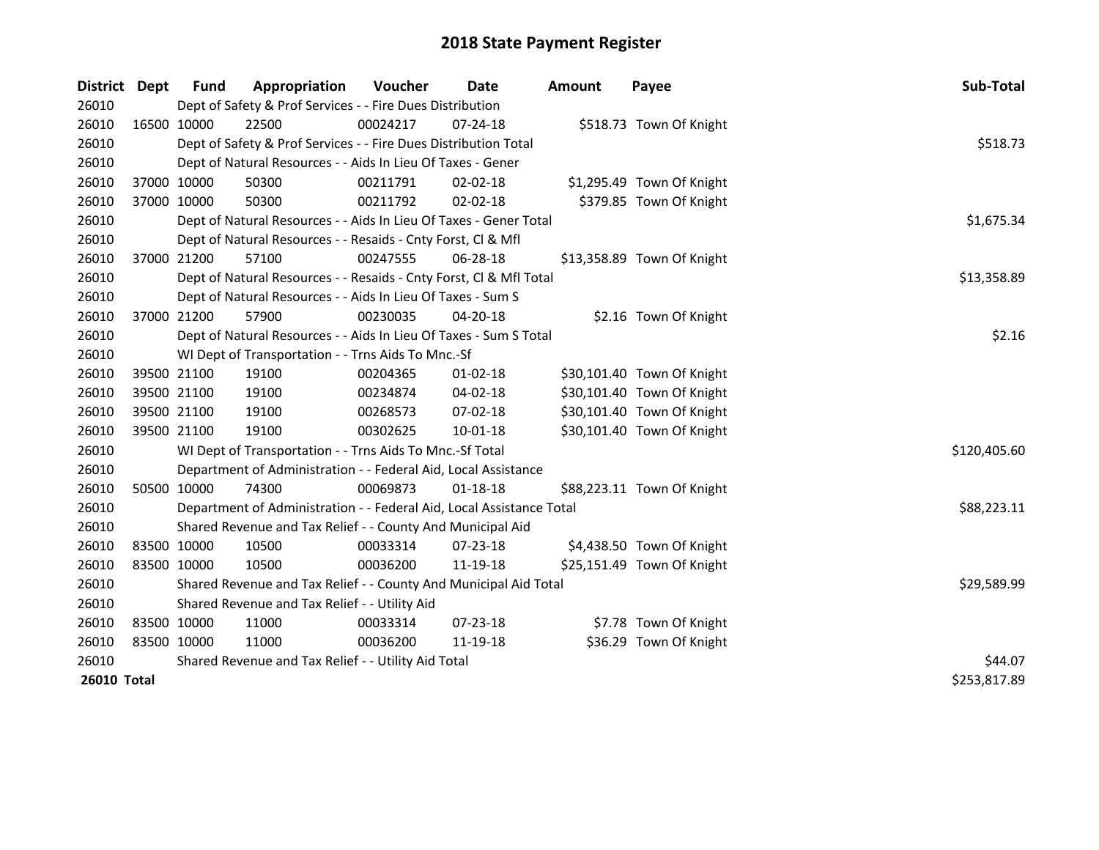| District Dept      |             | <b>Fund</b> | Appropriation                                                        | Voucher  | <b>Date</b>    | <b>Amount</b> | Payee                      | Sub-Total    |
|--------------------|-------------|-------------|----------------------------------------------------------------------|----------|----------------|---------------|----------------------------|--------------|
| 26010              |             |             | Dept of Safety & Prof Services - - Fire Dues Distribution            |          |                |               |                            |              |
| 26010              |             | 16500 10000 | 22500                                                                | 00024217 | 07-24-18       |               | \$518.73 Town Of Knight    |              |
| 26010              |             |             | Dept of Safety & Prof Services - - Fire Dues Distribution Total      | \$518.73 |                |               |                            |              |
| 26010              |             |             | Dept of Natural Resources - - Aids In Lieu Of Taxes - Gener          |          |                |               |                            |              |
| 26010              |             | 37000 10000 | 50300                                                                | 00211791 | 02-02-18       |               | \$1,295.49 Town Of Knight  |              |
| 26010              |             | 37000 10000 | 50300                                                                | 00211792 | $02 - 02 - 18$ |               | \$379.85 Town Of Knight    |              |
| 26010              |             |             | Dept of Natural Resources - - Aids In Lieu Of Taxes - Gener Total    |          |                |               |                            | \$1,675.34   |
| 26010              |             |             | Dept of Natural Resources - - Resaids - Cnty Forst, Cl & Mfl         |          |                |               |                            |              |
| 26010              |             | 37000 21200 | 57100                                                                | 00247555 | 06-28-18       |               | \$13,358.89 Town Of Knight |              |
| 26010              |             |             | Dept of Natural Resources - - Resaids - Cnty Forst, Cl & Mfl Total   |          |                |               |                            | \$13,358.89  |
| 26010              |             |             | Dept of Natural Resources - - Aids In Lieu Of Taxes - Sum S          |          |                |               |                            |              |
| 26010              |             | 37000 21200 | 57900                                                                | 00230035 | $04 - 20 - 18$ |               | \$2.16 Town Of Knight      |              |
| 26010              |             |             | Dept of Natural Resources - - Aids In Lieu Of Taxes - Sum S Total    |          |                |               |                            | \$2.16       |
| 26010              |             |             | WI Dept of Transportation - - Trns Aids To Mnc.-Sf                   |          |                |               |                            |              |
| 26010              |             | 39500 21100 | 19100                                                                | 00204365 | $01 - 02 - 18$ |               | \$30,101.40 Town Of Knight |              |
| 26010              |             | 39500 21100 | 19100                                                                | 00234874 | 04-02-18       |               | \$30,101.40 Town Of Knight |              |
| 26010              | 39500 21100 |             | 19100                                                                | 00268573 | 07-02-18       |               | \$30,101.40 Town Of Knight |              |
| 26010              | 39500 21100 |             | 19100                                                                | 00302625 | $10 - 01 - 18$ |               | \$30,101.40 Town Of Knight |              |
| 26010              |             |             | WI Dept of Transportation - - Trns Aids To Mnc.-Sf Total             |          |                |               |                            | \$120,405.60 |
| 26010              |             |             | Department of Administration - - Federal Aid, Local Assistance       |          |                |               |                            |              |
| 26010              |             | 50500 10000 | 74300                                                                | 00069873 | $01 - 18 - 18$ |               | \$88,223.11 Town Of Knight |              |
| 26010              |             |             | Department of Administration - - Federal Aid, Local Assistance Total |          |                |               |                            | \$88,223.11  |
| 26010              |             |             | Shared Revenue and Tax Relief - - County And Municipal Aid           |          |                |               |                            |              |
| 26010              |             | 83500 10000 | 10500                                                                | 00033314 | 07-23-18       |               | \$4,438.50 Town Of Knight  |              |
| 26010              | 83500 10000 |             | 10500                                                                | 00036200 | 11-19-18       |               | \$25,151.49 Town Of Knight |              |
| 26010              |             |             | Shared Revenue and Tax Relief - - County And Municipal Aid Total     |          |                |               |                            | \$29,589.99  |
| 26010              |             |             | Shared Revenue and Tax Relief - - Utility Aid                        |          |                |               |                            |              |
| 26010              | 83500 10000 |             | 11000                                                                | 00033314 | 07-23-18       |               | \$7.78 Town Of Knight      |              |
| 26010              | 83500 10000 |             | 11000                                                                | 00036200 | 11-19-18       |               | \$36.29 Town Of Knight     |              |
| 26010              |             |             | Shared Revenue and Tax Relief - - Utility Aid Total                  |          |                |               |                            | \$44.07      |
| <b>26010 Total</b> |             |             | \$253,817.89                                                         |          |                |               |                            |              |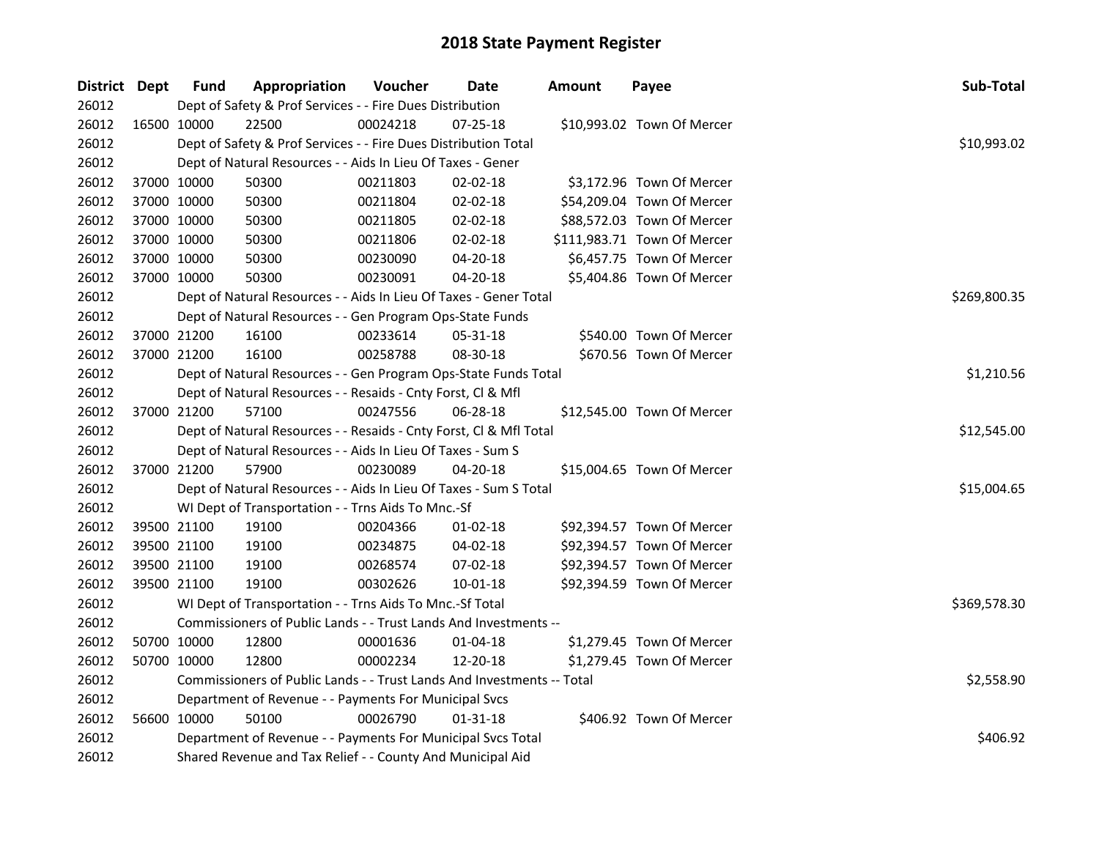| District Dept | <b>Fund</b> | Appropriation                                                          | Voucher    | Date           | <b>Amount</b> | Payee                       | Sub-Total    |
|---------------|-------------|------------------------------------------------------------------------|------------|----------------|---------------|-----------------------------|--------------|
| 26012         |             | Dept of Safety & Prof Services - - Fire Dues Distribution              |            |                |               |                             |              |
| 26012         | 16500 10000 | 22500                                                                  | 00024218   | $07 - 25 - 18$ |               | \$10,993.02 Town Of Mercer  |              |
| 26012         |             | Dept of Safety & Prof Services - - Fire Dues Distribution Total        |            |                |               |                             | \$10,993.02  |
| 26012         |             | Dept of Natural Resources - - Aids In Lieu Of Taxes - Gener            |            |                |               |                             |              |
| 26012         | 37000 10000 | 50300                                                                  | 00211803   | $02 - 02 - 18$ |               | \$3,172.96 Town Of Mercer   |              |
| 26012         | 37000 10000 | 50300                                                                  | 00211804   | 02-02-18       |               | \$54,209.04 Town Of Mercer  |              |
| 26012         | 37000 10000 | 50300                                                                  | 00211805   | 02-02-18       |               | \$88,572.03 Town Of Mercer  |              |
| 26012         | 37000 10000 | 50300                                                                  | 00211806   | 02-02-18       |               | \$111,983.71 Town Of Mercer |              |
| 26012         | 37000 10000 | 50300                                                                  | 00230090   | 04-20-18       |               | \$6,457.75 Town Of Mercer   |              |
| 26012         | 37000 10000 | 50300                                                                  | 00230091   | 04-20-18       |               | \$5,404.86 Town Of Mercer   |              |
| 26012         |             | Dept of Natural Resources - - Aids In Lieu Of Taxes - Gener Total      |            | \$269,800.35   |               |                             |              |
| 26012         |             | Dept of Natural Resources - - Gen Program Ops-State Funds              |            |                |               |                             |              |
| 26012         | 37000 21200 | 16100                                                                  | 00233614   | 05-31-18       |               | \$540.00 Town Of Mercer     |              |
| 26012         | 37000 21200 | 16100                                                                  | 00258788   | 08-30-18       |               | \$670.56 Town Of Mercer     |              |
| 26012         |             | Dept of Natural Resources - - Gen Program Ops-State Funds Total        | \$1,210.56 |                |               |                             |              |
| 26012         |             | Dept of Natural Resources - - Resaids - Cnty Forst, Cl & Mfl           |            |                |               |                             |              |
| 26012         | 37000 21200 | 57100                                                                  | 00247556   | 06-28-18       |               | \$12,545.00 Town Of Mercer  |              |
| 26012         |             | Dept of Natural Resources - - Resaids - Cnty Forst, Cl & Mfl Total     |            |                |               |                             | \$12,545.00  |
| 26012         |             | Dept of Natural Resources - - Aids In Lieu Of Taxes - Sum S            |            |                |               |                             |              |
| 26012         | 37000 21200 | 57900                                                                  | 00230089   | $04 - 20 - 18$ |               | \$15,004.65 Town Of Mercer  |              |
| 26012         |             | Dept of Natural Resources - - Aids In Lieu Of Taxes - Sum S Total      |            |                |               |                             | \$15,004.65  |
| 26012         |             | WI Dept of Transportation - - Trns Aids To Mnc.-Sf                     |            |                |               |                             |              |
| 26012         | 39500 21100 | 19100                                                                  | 00204366   | $01-02-18$     |               | \$92,394.57 Town Of Mercer  |              |
| 26012         | 39500 21100 | 19100                                                                  | 00234875   | 04-02-18       |               | \$92,394.57 Town Of Mercer  |              |
| 26012         | 39500 21100 | 19100                                                                  | 00268574   | 07-02-18       |               | \$92,394.57 Town Of Mercer  |              |
| 26012         | 39500 21100 | 19100                                                                  | 00302626   | 10-01-18       |               | \$92,394.59 Town Of Mercer  |              |
| 26012         |             | WI Dept of Transportation - - Trns Aids To Mnc.-Sf Total               |            |                |               |                             | \$369,578.30 |
| 26012         |             | Commissioners of Public Lands - - Trust Lands And Investments --       |            |                |               |                             |              |
| 26012         | 50700 10000 | 12800                                                                  | 00001636   | $01 - 04 - 18$ |               | \$1,279.45 Town Of Mercer   |              |
| 26012         | 50700 10000 | 12800                                                                  | 00002234   | 12-20-18       |               | \$1,279.45 Town Of Mercer   |              |
| 26012         |             | Commissioners of Public Lands - - Trust Lands And Investments -- Total |            |                |               |                             | \$2,558.90   |
| 26012         |             | Department of Revenue - - Payments For Municipal Svcs                  |            |                |               |                             |              |
| 26012         | 56600 10000 | 50100                                                                  | 00026790   | 01-31-18       |               | \$406.92 Town Of Mercer     |              |
| 26012         |             | Department of Revenue - - Payments For Municipal Svcs Total            |            |                |               |                             | \$406.92     |
| 26012         |             | Shared Revenue and Tax Relief - - County And Municipal Aid             |            |                |               |                             |              |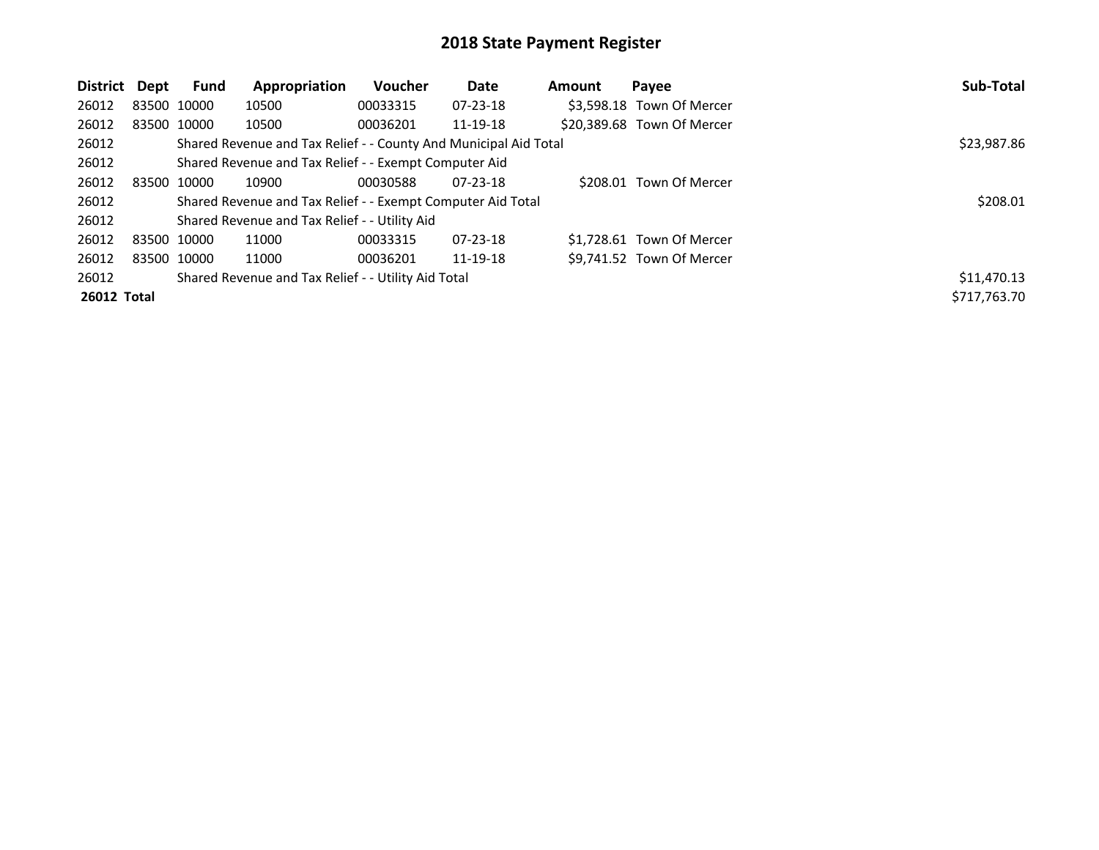| District    | Dept        | Fund                                                  | Appropriation                                               | <b>Voucher</b> | Date           | <b>Amount</b> | Payee                      | Sub-Total    |
|-------------|-------------|-------------------------------------------------------|-------------------------------------------------------------|----------------|----------------|---------------|----------------------------|--------------|
| 26012       |             | 83500 10000                                           | 10500                                                       | 00033315       | 07-23-18       |               | \$3,598.18 Town Of Mercer  |              |
| 26012       |             | 83500 10000                                           | 10500                                                       | 00036201       | 11-19-18       |               | \$20,389.68 Town Of Mercer |              |
| 26012       |             | \$23,987.86                                           |                                                             |                |                |               |                            |              |
| 26012       |             | Shared Revenue and Tax Relief - - Exempt Computer Aid |                                                             |                |                |               |                            |              |
| 26012       |             | 83500 10000                                           | 10900                                                       | 00030588       | $07 - 23 - 18$ |               | \$208.01 Town Of Mercer    |              |
| 26012       |             |                                                       | Shared Revenue and Tax Relief - - Exempt Computer Aid Total |                |                |               |                            | \$208.01     |
| 26012       |             |                                                       | Shared Revenue and Tax Relief - - Utility Aid               |                |                |               |                            |              |
| 26012       | 83500 10000 |                                                       | 11000                                                       | 00033315       | $07 - 23 - 18$ |               | \$1.728.61 Town Of Mercer  |              |
| 26012       |             | 83500 10000                                           | 11000                                                       | 00036201       | 11-19-18       |               | \$9.741.52 Town Of Mercer  |              |
| 26012       |             |                                                       | Shared Revenue and Tax Relief - - Utility Aid Total         |                |                |               |                            | \$11,470.13  |
| 26012 Total |             |                                                       |                                                             |                |                |               |                            | \$717,763.70 |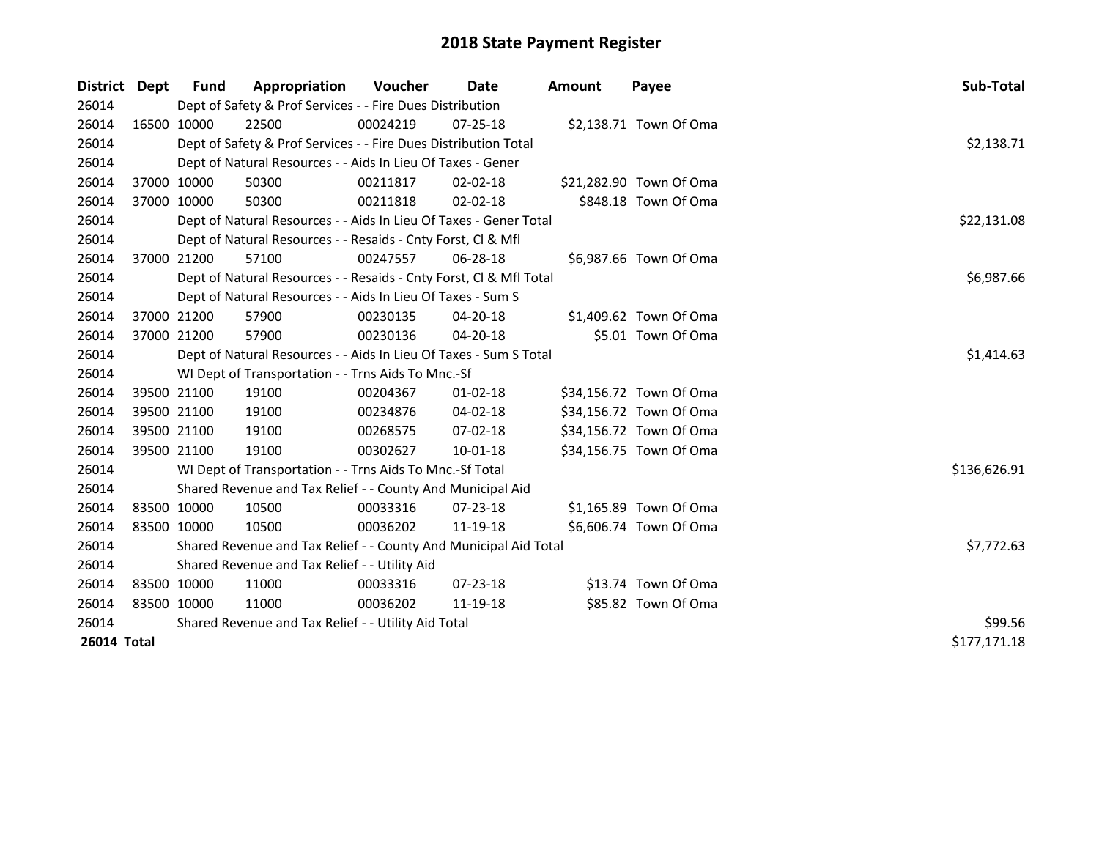| District Dept      |             | <b>Fund</b>                                         | Appropriation                                                      | <b>Voucher</b> | Date           | Amount | Payee                   | Sub-Total    |
|--------------------|-------------|-----------------------------------------------------|--------------------------------------------------------------------|----------------|----------------|--------|-------------------------|--------------|
| 26014              |             |                                                     | Dept of Safety & Prof Services - - Fire Dues Distribution          |                |                |        |                         |              |
| 26014              |             | 16500 10000                                         | 22500                                                              | 00024219       | 07-25-18       |        | \$2,138.71 Town Of Oma  |              |
| 26014              |             |                                                     | Dept of Safety & Prof Services - - Fire Dues Distribution Total    | \$2,138.71     |                |        |                         |              |
| 26014              |             |                                                     | Dept of Natural Resources - - Aids In Lieu Of Taxes - Gener        |                |                |        |                         |              |
| 26014              |             | 37000 10000                                         | 50300                                                              | 00211817       | $02 - 02 - 18$ |        | \$21,282.90 Town Of Oma |              |
| 26014              |             | 37000 10000                                         | 50300                                                              | 00211818       | $02 - 02 - 18$ |        | \$848.18 Town Of Oma    |              |
| 26014              |             |                                                     | Dept of Natural Resources - - Aids In Lieu Of Taxes - Gener Total  |                |                |        |                         | \$22,131.08  |
| 26014              |             |                                                     | Dept of Natural Resources - - Resaids - Cnty Forst, Cl & Mfl       |                |                |        |                         |              |
| 26014              |             | 37000 21200                                         | 57100                                                              | 00247557       | $06 - 28 - 18$ |        | \$6,987.66 Town Of Oma  |              |
| 26014              |             |                                                     | Dept of Natural Resources - - Resaids - Cnty Forst, Cl & Mfl Total |                |                |        |                         | \$6,987.66   |
| 26014              |             |                                                     | Dept of Natural Resources - - Aids In Lieu Of Taxes - Sum S        |                |                |        |                         |              |
| 26014              |             | 37000 21200                                         | 57900                                                              | 00230135       | 04-20-18       |        | \$1,409.62 Town Of Oma  |              |
| 26014              | 37000 21200 |                                                     | 57900                                                              | 00230136       | 04-20-18       |        | \$5.01 Town Of Oma      |              |
| 26014              |             |                                                     | Dept of Natural Resources - - Aids In Lieu Of Taxes - Sum S Total  | \$1,414.63     |                |        |                         |              |
| 26014              |             |                                                     | WI Dept of Transportation - - Trns Aids To Mnc.-Sf                 |                |                |        |                         |              |
| 26014              |             | 39500 21100                                         | 19100                                                              | 00204367       | $01 - 02 - 18$ |        | \$34,156.72 Town Of Oma |              |
| 26014              |             | 39500 21100                                         | 19100                                                              | 00234876       | 04-02-18       |        | \$34,156.72 Town Of Oma |              |
| 26014              |             | 39500 21100                                         | 19100                                                              | 00268575       | $07 - 02 - 18$ |        | \$34,156.72 Town Of Oma |              |
| 26014              |             | 39500 21100                                         | 19100                                                              | 00302627       | 10-01-18       |        | \$34,156.75 Town Of Oma |              |
| 26014              |             |                                                     | WI Dept of Transportation - - Trns Aids To Mnc.-Sf Total           |                |                |        |                         | \$136,626.91 |
| 26014              |             |                                                     | Shared Revenue and Tax Relief - - County And Municipal Aid         |                |                |        |                         |              |
| 26014              |             | 83500 10000                                         | 10500                                                              | 00033316       | 07-23-18       |        | \$1,165.89 Town Of Oma  |              |
| 26014              | 83500 10000 |                                                     | 10500                                                              | 00036202       | 11-19-18       |        | \$6,606.74 Town Of Oma  |              |
| 26014              |             |                                                     | Shared Revenue and Tax Relief - - County And Municipal Aid Total   | \$7,772.63     |                |        |                         |              |
| 26014              |             |                                                     | Shared Revenue and Tax Relief - - Utility Aid                      |                |                |        |                         |              |
| 26014              |             | 83500 10000                                         | 11000                                                              | 00033316       | 07-23-18       |        | \$13.74 Town Of Oma     |              |
| 26014              | 83500 10000 |                                                     | 11000                                                              | 00036202       | 11-19-18       |        | \$85.82 Town Of Oma     |              |
| 26014              |             | Shared Revenue and Tax Relief - - Utility Aid Total | \$99.56                                                            |                |                |        |                         |              |
| <b>26014 Total</b> |             |                                                     |                                                                    |                |                |        |                         | \$177,171.18 |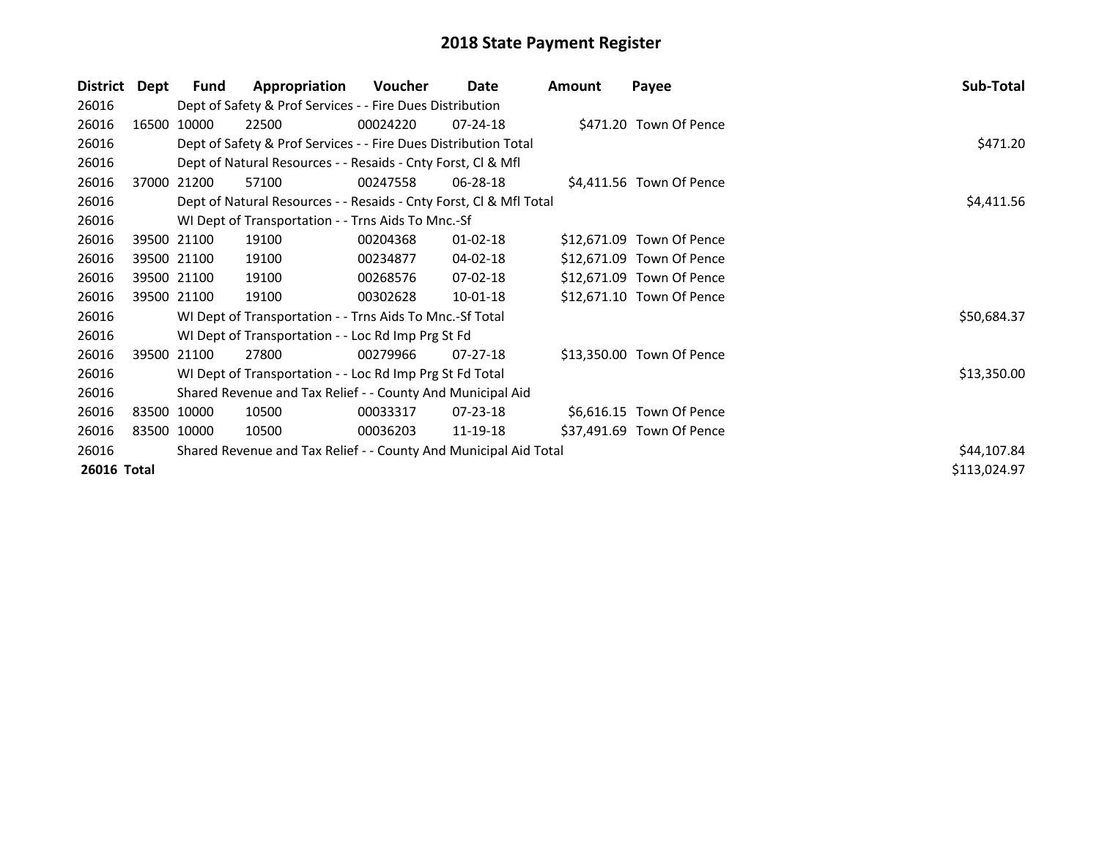| <b>District</b> | Dept | <b>Fund</b> | Appropriation                                                      | Voucher  | Date           | Amount | Payee                     | Sub-Total    |
|-----------------|------|-------------|--------------------------------------------------------------------|----------|----------------|--------|---------------------------|--------------|
| 26016           |      |             | Dept of Safety & Prof Services - - Fire Dues Distribution          |          |                |        |                           |              |
| 26016           |      | 16500 10000 | 22500                                                              | 00024220 | 07-24-18       |        | \$471.20 Town Of Pence    |              |
| 26016           |      |             | Dept of Safety & Prof Services - - Fire Dues Distribution Total    |          |                |        |                           | \$471.20     |
| 26016           |      |             | Dept of Natural Resources - - Resaids - Cnty Forst, CI & Mfl       |          |                |        |                           |              |
| 26016           |      | 37000 21200 | 57100                                                              | 00247558 | $06 - 28 - 18$ |        | \$4,411.56 Town Of Pence  |              |
| 26016           |      |             | Dept of Natural Resources - - Resaids - Cnty Forst, Cl & Mfl Total |          |                |        |                           | \$4,411.56   |
| 26016           |      |             | WI Dept of Transportation - - Trns Aids To Mnc.-Sf                 |          |                |        |                           |              |
| 26016           |      | 39500 21100 | 19100                                                              | 00204368 | $01 - 02 - 18$ |        | \$12,671.09 Town Of Pence |              |
| 26016           |      | 39500 21100 | 19100                                                              | 00234877 | 04-02-18       |        | \$12,671.09 Town Of Pence |              |
| 26016           |      | 39500 21100 | 19100                                                              | 00268576 | 07-02-18       |        | \$12,671.09 Town Of Pence |              |
| 26016           |      | 39500 21100 | 19100                                                              | 00302628 | $10 - 01 - 18$ |        | \$12,671.10 Town Of Pence |              |
| 26016           |      |             | WI Dept of Transportation - - Trns Aids To Mnc.-Sf Total           |          |                |        |                           | \$50,684.37  |
| 26016           |      |             | WI Dept of Transportation - - Loc Rd Imp Prg St Fd                 |          |                |        |                           |              |
| 26016           |      | 39500 21100 | 27800                                                              | 00279966 | $07 - 27 - 18$ |        | \$13,350.00 Town Of Pence |              |
| 26016           |      |             | WI Dept of Transportation - - Loc Rd Imp Prg St Fd Total           |          |                |        |                           | \$13,350.00  |
| 26016           |      |             | Shared Revenue and Tax Relief - - County And Municipal Aid         |          |                |        |                           |              |
| 26016           |      | 83500 10000 | 10500                                                              | 00033317 | 07-23-18       |        | \$6,616.15 Town Of Pence  |              |
| 26016           |      | 83500 10000 | 10500                                                              | 00036203 | 11-19-18       |        | \$37,491.69 Town Of Pence |              |
| 26016           |      |             | Shared Revenue and Tax Relief - - County And Municipal Aid Total   |          |                |        |                           | \$44,107.84  |
| 26016 Total     |      |             |                                                                    |          |                |        |                           | \$113,024.97 |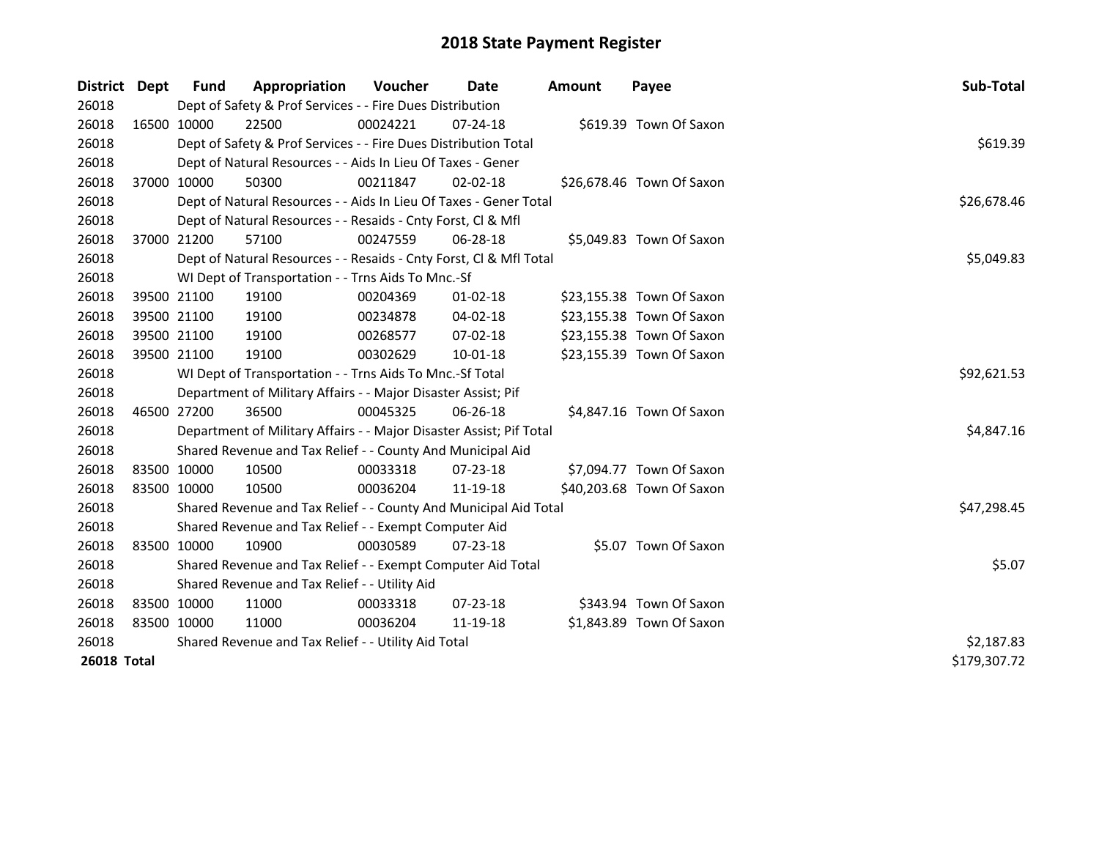| <b>District</b>    | Dept        | Fund        | Appropriation                                                       | <b>Voucher</b> | Date           | <b>Amount</b> | Payee                     | Sub-Total    |
|--------------------|-------------|-------------|---------------------------------------------------------------------|----------------|----------------|---------------|---------------------------|--------------|
| 26018              |             |             | Dept of Safety & Prof Services - - Fire Dues Distribution           |                |                |               |                           |              |
| 26018              |             | 16500 10000 | 22500                                                               | 00024221       | $07 - 24 - 18$ |               | \$619.39 Town Of Saxon    |              |
| 26018              |             |             | Dept of Safety & Prof Services - - Fire Dues Distribution Total     |                |                |               |                           | \$619.39     |
| 26018              |             |             | Dept of Natural Resources - - Aids In Lieu Of Taxes - Gener         |                |                |               |                           |              |
| 26018              |             | 37000 10000 | 50300                                                               | 00211847       | $02 - 02 - 18$ |               | \$26,678.46 Town Of Saxon |              |
| 26018              |             |             | Dept of Natural Resources - - Aids In Lieu Of Taxes - Gener Total   |                |                |               |                           | \$26,678.46  |
| 26018              |             |             | Dept of Natural Resources - - Resaids - Cnty Forst, Cl & Mfl        |                |                |               |                           |              |
| 26018              |             | 37000 21200 | 57100                                                               | 00247559       | 06-28-18       |               | \$5,049.83 Town Of Saxon  |              |
| 26018              |             |             | Dept of Natural Resources - - Resaids - Cnty Forst, Cl & Mfl Total  |                |                |               |                           | \$5,049.83   |
| 26018              |             |             | WI Dept of Transportation - - Trns Aids To Mnc.-Sf                  |                |                |               |                           |              |
| 26018              |             | 39500 21100 | 19100                                                               | 00204369       | 01-02-18       |               | \$23,155.38 Town Of Saxon |              |
| 26018              | 39500 21100 |             | 19100                                                               | 00234878       | 04-02-18       |               | \$23,155.38 Town Of Saxon |              |
| 26018              | 39500 21100 |             | 19100                                                               | 00268577       | 07-02-18       |               | \$23,155.38 Town Of Saxon |              |
| 26018              | 39500 21100 |             | 19100                                                               | 00302629       | 10-01-18       |               | \$23,155.39 Town Of Saxon |              |
| 26018              |             |             | WI Dept of Transportation - - Trns Aids To Mnc.-Sf Total            | \$92,621.53    |                |               |                           |              |
| 26018              |             |             | Department of Military Affairs - - Major Disaster Assist; Pif       |                |                |               |                           |              |
| 26018              |             | 46500 27200 | 36500                                                               | 00045325       | 06-26-18       |               | \$4,847.16 Town Of Saxon  |              |
| 26018              |             |             | Department of Military Affairs - - Major Disaster Assist; Pif Total |                |                |               |                           | \$4,847.16   |
| 26018              |             |             | Shared Revenue and Tax Relief - - County And Municipal Aid          |                |                |               |                           |              |
| 26018              | 83500 10000 |             | 10500                                                               | 00033318       | $07 - 23 - 18$ |               | \$7,094.77 Town Of Saxon  |              |
| 26018              | 83500 10000 |             | 10500                                                               | 00036204       | 11-19-18       |               | \$40,203.68 Town Of Saxon |              |
| 26018              |             |             | Shared Revenue and Tax Relief - - County And Municipal Aid Total    |                |                |               |                           | \$47,298.45  |
| 26018              |             |             | Shared Revenue and Tax Relief - - Exempt Computer Aid               |                |                |               |                           |              |
| 26018              | 83500 10000 |             | 10900                                                               | 00030589       | $07 - 23 - 18$ |               | \$5.07 Town Of Saxon      |              |
| 26018              |             |             | Shared Revenue and Tax Relief - - Exempt Computer Aid Total         |                |                |               |                           | \$5.07       |
| 26018              |             |             | Shared Revenue and Tax Relief - - Utility Aid                       |                |                |               |                           |              |
| 26018              | 83500 10000 |             | 11000                                                               | 00033318       | 07-23-18       |               | \$343.94 Town Of Saxon    |              |
| 26018              | 83500 10000 |             | 11000                                                               | 00036204       | 11-19-18       |               | \$1,843.89 Town Of Saxon  |              |
| 26018              |             |             | Shared Revenue and Tax Relief - - Utility Aid Total                 | \$2,187.83     |                |               |                           |              |
| <b>26018 Total</b> |             |             |                                                                     |                |                |               |                           | \$179,307.72 |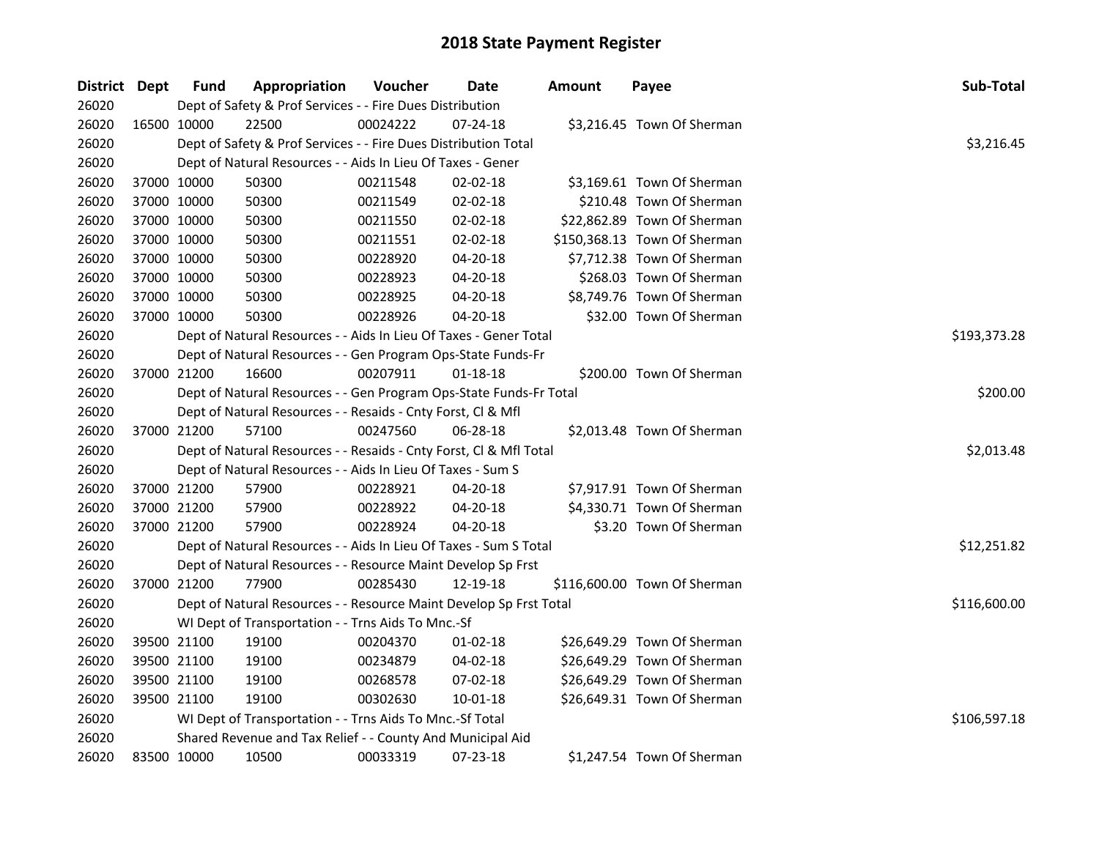| District Dept |             | <b>Fund</b> | Appropriation                                                      | Voucher  | <b>Date</b>    | <b>Amount</b> | Payee                        | Sub-Total    |
|---------------|-------------|-------------|--------------------------------------------------------------------|----------|----------------|---------------|------------------------------|--------------|
| 26020         |             |             | Dept of Safety & Prof Services - - Fire Dues Distribution          |          |                |               |                              |              |
| 26020         |             | 16500 10000 | 22500                                                              | 00024222 | $07 - 24 - 18$ |               | \$3,216.45 Town Of Sherman   |              |
| 26020         |             |             | Dept of Safety & Prof Services - - Fire Dues Distribution Total    |          |                |               |                              | \$3,216.45   |
| 26020         |             |             | Dept of Natural Resources - - Aids In Lieu Of Taxes - Gener        |          |                |               |                              |              |
| 26020         |             | 37000 10000 | 50300                                                              | 00211548 | $02 - 02 - 18$ |               | \$3,169.61 Town Of Sherman   |              |
| 26020         | 37000 10000 |             | 50300                                                              | 00211549 | 02-02-18       |               | \$210.48 Town Of Sherman     |              |
| 26020         | 37000 10000 |             | 50300                                                              | 00211550 | 02-02-18       |               | \$22,862.89 Town Of Sherman  |              |
| 26020         | 37000 10000 |             | 50300                                                              | 00211551 | 02-02-18       |               | \$150,368.13 Town Of Sherman |              |
| 26020         | 37000 10000 |             | 50300                                                              | 00228920 | 04-20-18       |               | \$7,712.38 Town Of Sherman   |              |
| 26020         | 37000 10000 |             | 50300                                                              | 00228923 | 04-20-18       |               | \$268.03 Town Of Sherman     |              |
| 26020         | 37000 10000 |             | 50300                                                              | 00228925 | 04-20-18       |               | \$8,749.76 Town Of Sherman   |              |
| 26020         |             | 37000 10000 | 50300                                                              | 00228926 | 04-20-18       |               | \$32.00 Town Of Sherman      |              |
| 26020         |             |             | Dept of Natural Resources - - Aids In Lieu Of Taxes - Gener Total  |          |                |               |                              | \$193,373.28 |
| 26020         |             |             | Dept of Natural Resources - - Gen Program Ops-State Funds-Fr       |          |                |               |                              |              |
| 26020         |             | 37000 21200 | 16600                                                              | 00207911 | $01 - 18 - 18$ |               | \$200.00 Town Of Sherman     |              |
| 26020         |             |             | Dept of Natural Resources - - Gen Program Ops-State Funds-Fr Total |          |                |               |                              | \$200.00     |
| 26020         |             |             | Dept of Natural Resources - - Resaids - Cnty Forst, Cl & Mfl       |          |                |               |                              |              |
| 26020         |             | 37000 21200 | 57100                                                              | 00247560 | 06-28-18       |               | \$2,013.48 Town Of Sherman   |              |
| 26020         |             |             | Dept of Natural Resources - - Resaids - Cnty Forst, Cl & Mfl Total |          |                |               |                              | \$2,013.48   |
| 26020         |             |             | Dept of Natural Resources - - Aids In Lieu Of Taxes - Sum S        |          |                |               |                              |              |
| 26020         | 37000 21200 |             | 57900                                                              | 00228921 | 04-20-18       |               | \$7,917.91 Town Of Sherman   |              |
| 26020         | 37000 21200 |             | 57900                                                              | 00228922 | 04-20-18       |               | \$4,330.71 Town Of Sherman   |              |
| 26020         |             | 37000 21200 | 57900                                                              | 00228924 | 04-20-18       |               | \$3.20 Town Of Sherman       |              |
| 26020         |             |             | Dept of Natural Resources - - Aids In Lieu Of Taxes - Sum S Total  |          |                |               |                              | \$12,251.82  |
| 26020         |             |             | Dept of Natural Resources - - Resource Maint Develop Sp Frst       |          |                |               |                              |              |
| 26020         |             | 37000 21200 | 77900                                                              | 00285430 | 12-19-18       |               | \$116,600.00 Town Of Sherman |              |
| 26020         |             |             | Dept of Natural Resources - - Resource Maint Develop Sp Frst Total |          |                |               |                              | \$116,600.00 |
| 26020         |             |             | WI Dept of Transportation - - Trns Aids To Mnc.-Sf                 |          |                |               |                              |              |
| 26020         |             | 39500 21100 | 19100                                                              | 00204370 | $01 - 02 - 18$ |               | \$26,649.29 Town Of Sherman  |              |
| 26020         | 39500 21100 |             | 19100                                                              | 00234879 | 04-02-18       |               | \$26,649.29 Town Of Sherman  |              |
| 26020         | 39500 21100 |             | 19100                                                              | 00268578 | 07-02-18       |               | \$26,649.29 Town Of Sherman  |              |
| 26020         |             | 39500 21100 | 19100                                                              | 00302630 | 10-01-18       |               | \$26,649.31 Town Of Sherman  |              |
| 26020         |             |             | WI Dept of Transportation - - Trns Aids To Mnc.-Sf Total           |          |                |               |                              | \$106,597.18 |
| 26020         |             |             | Shared Revenue and Tax Relief - - County And Municipal Aid         |          |                |               |                              |              |
| 26020         | 83500 10000 |             | 10500                                                              | 00033319 | 07-23-18       |               | \$1,247.54 Town Of Sherman   |              |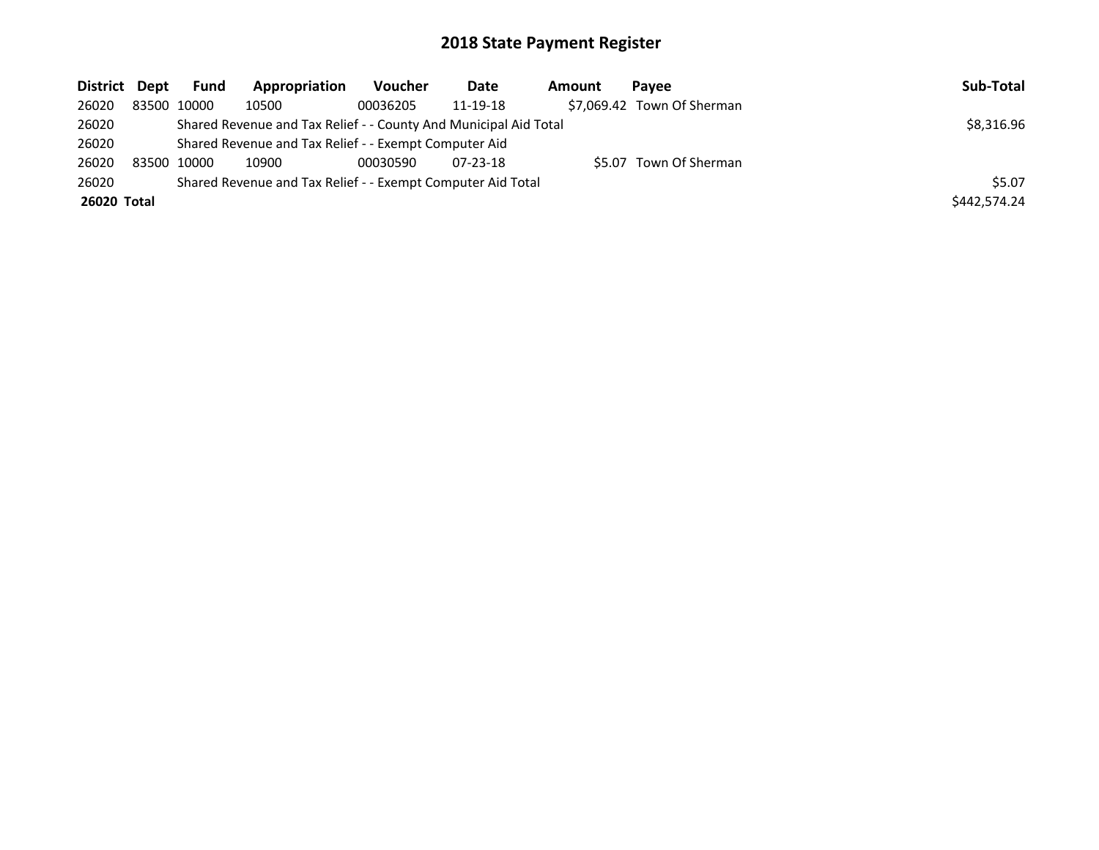| District Dept | Fund        | Appropriation                                                    | Voucher  | Date     | Amount | Pavee                      | Sub-Total    |
|---------------|-------------|------------------------------------------------------------------|----------|----------|--------|----------------------------|--------------|
| 26020         | 83500 10000 | 10500                                                            | 00036205 | 11-19-18 |        | \$7,069.42 Town Of Sherman |              |
| 26020         |             | Shared Revenue and Tax Relief - - County And Municipal Aid Total |          |          |        |                            | \$8,316.96   |
| 26020         |             | Shared Revenue and Tax Relief - - Exempt Computer Aid            |          |          |        |                            |              |
| 26020         | 83500 10000 | 10900                                                            | 00030590 | 07-23-18 |        | \$5.07 Town Of Sherman     |              |
| 26020         |             | Shared Revenue and Tax Relief - - Exempt Computer Aid Total      |          |          |        |                            | \$5.07       |
| 26020 Total   |             |                                                                  |          |          |        |                            | \$442.574.24 |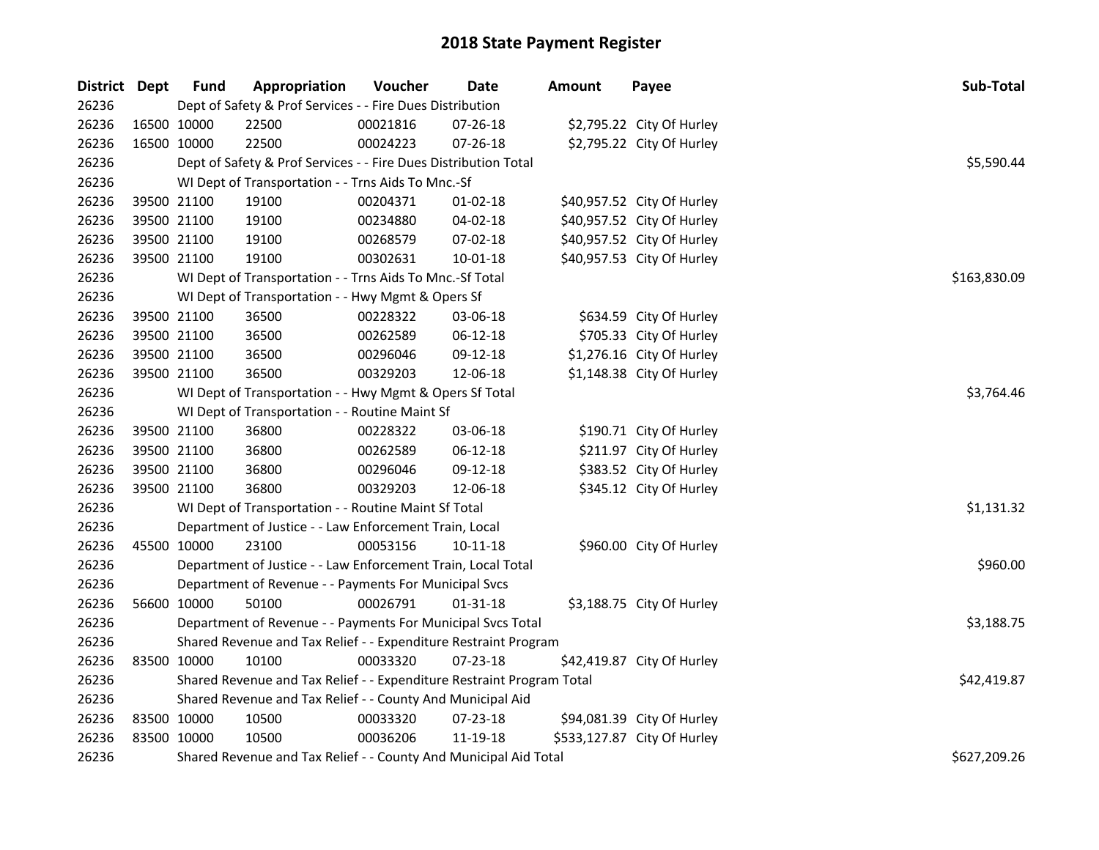| District Dept |             | <b>Fund</b>                                                                          | Appropriation                                                    | Voucher      | <b>Date</b>    | <b>Amount</b> | Payee                       | Sub-Total    |  |  |
|---------------|-------------|--------------------------------------------------------------------------------------|------------------------------------------------------------------|--------------|----------------|---------------|-----------------------------|--------------|--|--|
| 26236         |             | Dept of Safety & Prof Services - - Fire Dues Distribution                            |                                                                  |              |                |               |                             |              |  |  |
| 26236         | 16500 10000 |                                                                                      | 22500                                                            | 00021816     | 07-26-18       |               | \$2,795.22 City Of Hurley   |              |  |  |
| 26236         | 16500 10000 |                                                                                      | 22500                                                            | 00024223     | 07-26-18       |               | \$2,795.22 City Of Hurley   |              |  |  |
| 26236         |             | Dept of Safety & Prof Services - - Fire Dues Distribution Total                      | \$5,590.44                                                       |              |                |               |                             |              |  |  |
| 26236         |             | WI Dept of Transportation - - Trns Aids To Mnc.-Sf                                   |                                                                  |              |                |               |                             |              |  |  |
| 26236         |             | 39500 21100                                                                          | 19100                                                            | 00204371     | $01-02-18$     |               | \$40,957.52 City Of Hurley  |              |  |  |
| 26236         |             | 39500 21100                                                                          | 19100                                                            | 00234880     | 04-02-18       |               | \$40,957.52 City Of Hurley  |              |  |  |
| 26236         | 39500 21100 |                                                                                      | 19100                                                            | 00268579     | 07-02-18       |               | \$40,957.52 City Of Hurley  |              |  |  |
| 26236         | 39500 21100 |                                                                                      | 19100                                                            | 00302631     | 10-01-18       |               | \$40,957.53 City Of Hurley  |              |  |  |
| 26236         |             |                                                                                      | WI Dept of Transportation - - Trns Aids To Mnc.-Sf Total         |              |                |               |                             | \$163,830.09 |  |  |
| 26236         |             |                                                                                      | WI Dept of Transportation - - Hwy Mgmt & Opers Sf                |              |                |               |                             |              |  |  |
| 26236         |             | 39500 21100                                                                          | 36500                                                            | 00228322     | 03-06-18       |               | \$634.59 City Of Hurley     |              |  |  |
| 26236         |             | 39500 21100                                                                          | 36500                                                            | 00262589     | $06 - 12 - 18$ |               | \$705.33 City Of Hurley     |              |  |  |
| 26236         | 39500 21100 |                                                                                      | 36500                                                            | 00296046     | 09-12-18       |               | \$1,276.16 City Of Hurley   |              |  |  |
| 26236         | 39500 21100 |                                                                                      | 36500                                                            | 00329203     | 12-06-18       |               | \$1,148.38 City Of Hurley   |              |  |  |
| 26236         |             | WI Dept of Transportation - - Hwy Mgmt & Opers Sf Total                              | \$3,764.46                                                       |              |                |               |                             |              |  |  |
| 26236         |             |                                                                                      | WI Dept of Transportation - - Routine Maint Sf                   |              |                |               |                             |              |  |  |
| 26236         | 39500 21100 |                                                                                      | 36800                                                            | 00228322     | 03-06-18       |               | \$190.71 City Of Hurley     |              |  |  |
| 26236         | 39500 21100 |                                                                                      | 36800                                                            | 00262589     | $06 - 12 - 18$ |               | \$211.97 City Of Hurley     |              |  |  |
| 26236         | 39500 21100 |                                                                                      | 36800                                                            | 00296046     | 09-12-18       |               | \$383.52 City Of Hurley     |              |  |  |
| 26236         | 39500 21100 |                                                                                      | 36800                                                            | 00329203     | 12-06-18       |               | \$345.12 City Of Hurley     |              |  |  |
| 26236         |             | WI Dept of Transportation - - Routine Maint Sf Total                                 | \$1,131.32                                                       |              |                |               |                             |              |  |  |
| 26236         |             | Department of Justice - - Law Enforcement Train, Local                               |                                                                  |              |                |               |                             |              |  |  |
| 26236         | 45500 10000 |                                                                                      | 23100                                                            | 00053156     | 10-11-18       |               | \$960.00 City Of Hurley     |              |  |  |
| 26236         |             | Department of Justice - - Law Enforcement Train, Local Total                         |                                                                  |              |                |               |                             |              |  |  |
| 26236         |             | Department of Revenue - - Payments For Municipal Svcs                                |                                                                  |              |                |               |                             |              |  |  |
| 26236         | 56600 10000 |                                                                                      | 50100                                                            | 00026791     | 01-31-18       |               | \$3,188.75 City Of Hurley   |              |  |  |
| 26236         |             | Department of Revenue - - Payments For Municipal Svcs Total                          |                                                                  |              |                |               |                             |              |  |  |
| 26236         |             | Shared Revenue and Tax Relief - - Expenditure Restraint Program                      |                                                                  |              |                |               |                             |              |  |  |
| 26236         | 83500 10000 |                                                                                      | 10100                                                            | 00033320     | 07-23-18       |               | \$42,419.87 City Of Hurley  |              |  |  |
| 26236         |             | \$42,419.87<br>Shared Revenue and Tax Relief - - Expenditure Restraint Program Total |                                                                  |              |                |               |                             |              |  |  |
| 26236         |             | Shared Revenue and Tax Relief - - County And Municipal Aid                           |                                                                  |              |                |               |                             |              |  |  |
| 26236         |             | 83500 10000                                                                          | 10500                                                            | 00033320     | 07-23-18       |               | \$94,081.39 City Of Hurley  |              |  |  |
| 26236         | 83500 10000 |                                                                                      | 10500                                                            | 00036206     | 11-19-18       |               | \$533,127.87 City Of Hurley |              |  |  |
| 26236         |             |                                                                                      | Shared Revenue and Tax Relief - - County And Municipal Aid Total | \$627,209.26 |                |               |                             |              |  |  |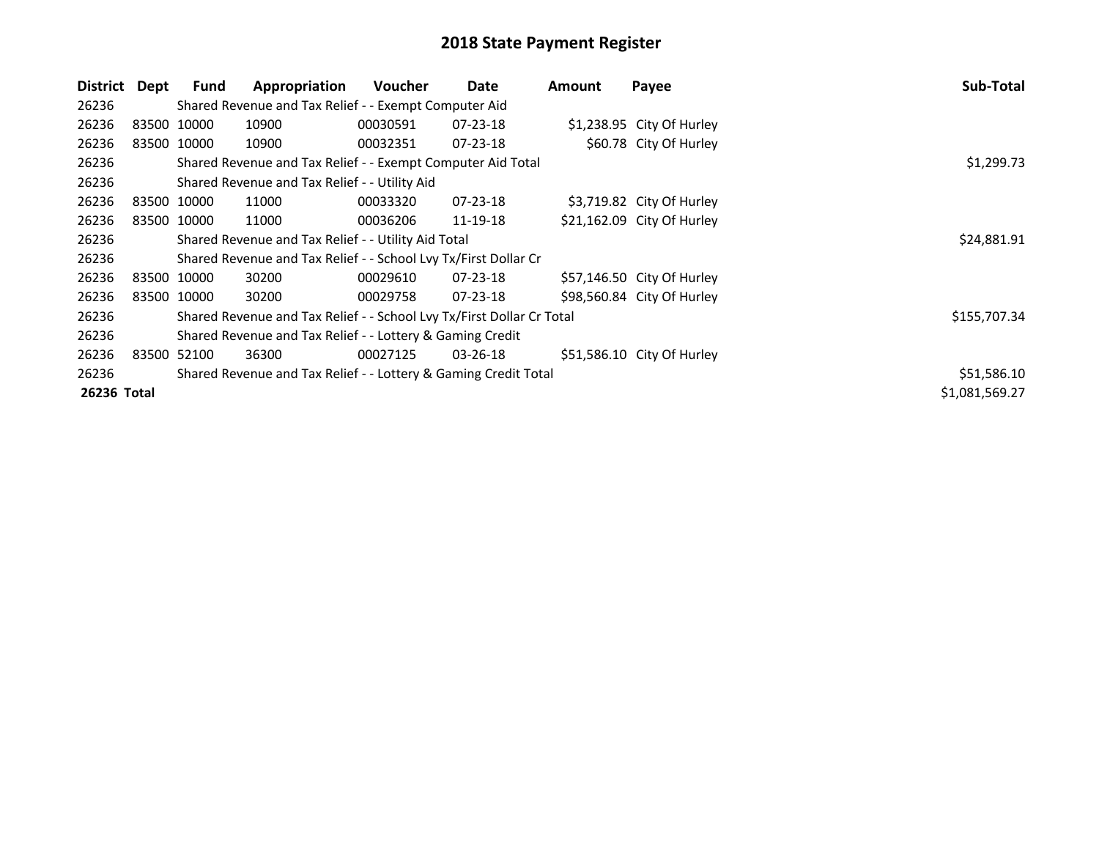| District    | Dept        | Fund                                                                  | Appropriation                                                   | <b>Voucher</b> | Date           | Amount | Payee                      | Sub-Total      |
|-------------|-------------|-----------------------------------------------------------------------|-----------------------------------------------------------------|----------------|----------------|--------|----------------------------|----------------|
| 26236       |             |                                                                       | Shared Revenue and Tax Relief - - Exempt Computer Aid           |                |                |        |                            |                |
| 26236       | 83500 10000 |                                                                       | 10900                                                           | 00030591       | $07 - 23 - 18$ |        | \$1,238.95 City Of Hurley  |                |
| 26236       | 83500 10000 |                                                                       | 10900                                                           | 00032351       | $07 - 23 - 18$ |        | \$60.78 City Of Hurley     |                |
| 26236       |             | Shared Revenue and Tax Relief - - Exempt Computer Aid Total           | \$1,299.73                                                      |                |                |        |                            |                |
| 26236       |             |                                                                       | Shared Revenue and Tax Relief - - Utility Aid                   |                |                |        |                            |                |
| 26236       | 83500 10000 |                                                                       | 11000                                                           | 00033320       | $07 - 23 - 18$ |        | \$3,719.82 City Of Hurley  |                |
| 26236       | 83500 10000 |                                                                       | 11000                                                           | 00036206       | 11-19-18       |        | \$21,162.09 City Of Hurley |                |
| 26236       |             | Shared Revenue and Tax Relief - - Utility Aid Total                   | \$24,881.91                                                     |                |                |        |                            |                |
| 26236       |             |                                                                       | Shared Revenue and Tax Relief - - School Lvy Tx/First Dollar Cr |                |                |        |                            |                |
| 26236       | 83500 10000 |                                                                       | 30200                                                           | 00029610       | 07-23-18       |        | \$57,146.50 City Of Hurley |                |
| 26236       |             | 83500 10000                                                           | 30200                                                           | 00029758       | 07-23-18       |        | \$98,560.84 City Of Hurley |                |
| 26236       |             | Shared Revenue and Tax Relief - - School Lvy Tx/First Dollar Cr Total | \$155,707.34                                                    |                |                |        |                            |                |
| 26236       |             | Shared Revenue and Tax Relief - - Lottery & Gaming Credit             |                                                                 |                |                |        |                            |                |
| 26236       |             | 83500 52100                                                           | 36300                                                           | 00027125       | 03-26-18       |        | \$51,586.10 City Of Hurley |                |
| 26236       |             | Shared Revenue and Tax Relief - - Lottery & Gaming Credit Total       | \$51,586.10                                                     |                |                |        |                            |                |
| 26236 Total |             |                                                                       |                                                                 |                |                |        |                            | \$1,081,569.27 |